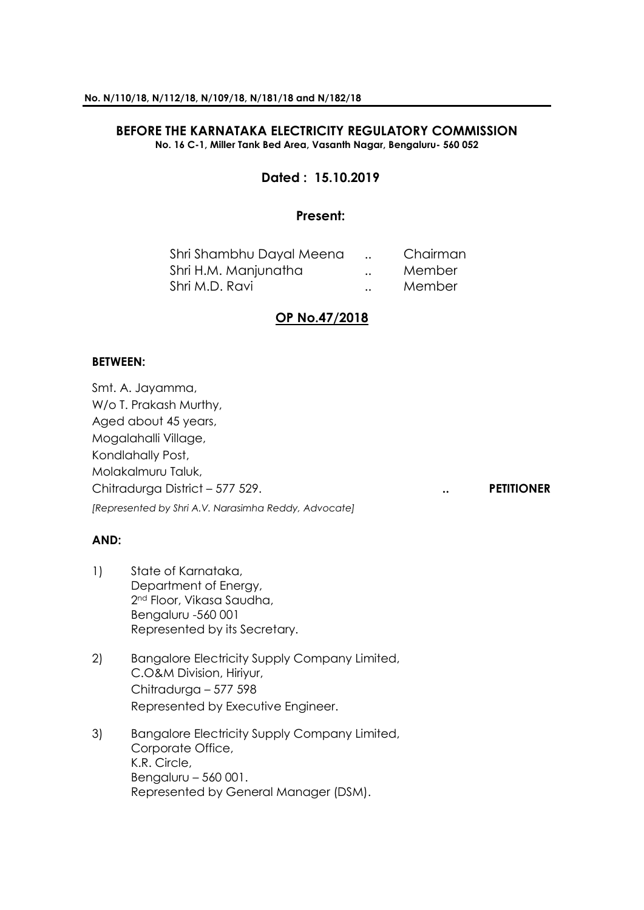## **BEFORE THE KARNATAKA ELECTRICITY REGULATORY COMMISSION No. 16 C-1, Miller Tank Bed Area, Vasanth Nagar, Bengaluru- 560 052**

# **Dated : 15.10.2019**

## **Present:**

| Shri Shambhu Dayal Meena |                      | Chairman |
|--------------------------|----------------------|----------|
| Shri H.M. Manjunatha     | $\ddot{\phantom{a}}$ | Member   |
| Shri M.D. Ravi           | $\ddot{\phantom{a}}$ | Member   |

## **OP No.47/2018**

## **BETWEEN:**

Smt. A. Jayamma, W/o T. Prakash Murthy, Aged about 45 years, Mogalahalli Village, Kondlahally Post, Molakalmuru Taluk, Chitradurga District – 577 529. **.. PETITIONER** *[Represented by Shri A.V. Narasimha Reddy, Advocate]*

## **AND:**

- 1) State of Karnataka, Department of Energy, 2nd Floor, Vikasa Saudha, Bengaluru -560 001 Represented by its Secretary.
- 2) Bangalore Electricity Supply Company Limited, C.O&M Division, Hiriyur, Chitradurga – 577 598 Represented by Executive Engineer.
- 3) Bangalore Electricity Supply Company Limited, Corporate Office, K.R. Circle, Bengaluru – 560 001. Represented by General Manager (DSM).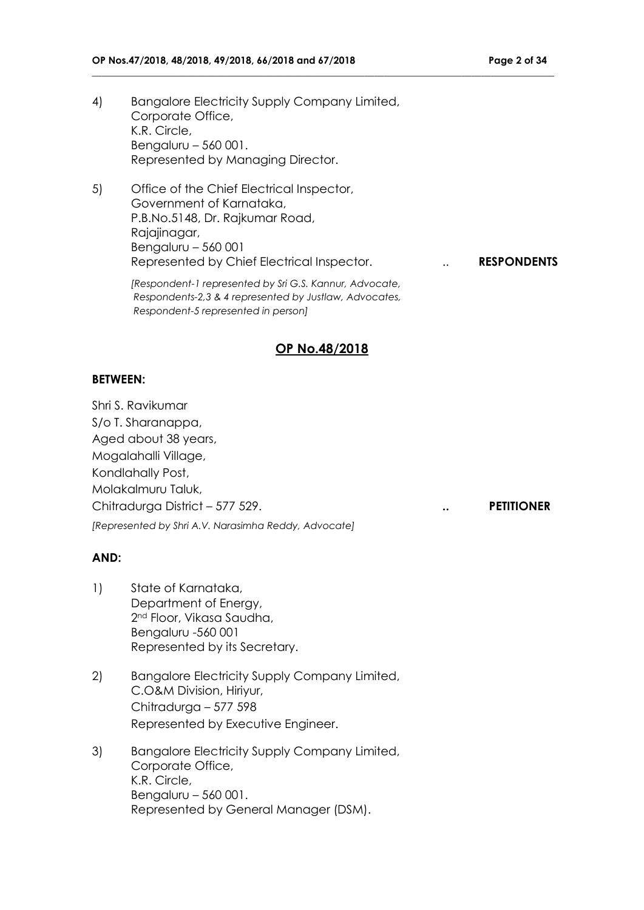- 
- 4) Bangalore Electricity Supply Company Limited, Corporate Office, K.R. Circle, Bengaluru – 560 001. Represented by Managing Director.
- 5) Office of the Chief Electrical Inspector, Government of Karnataka, P.B.No.5148, Dr. Rajkumar Road, Rajajinagar, Bengaluru – 560 001 Represented by Chief Electrical Inspector. **RESPONDENTS**

*[Respondent-1 represented by Sri G.S. Kannur, Advocate, Respondents-2,3 & 4 represented by Justlaw, Advocates, Respondent-5 represented in person]*

## **OP No.48/2018**

**\_\_\_\_\_\_\_\_\_\_\_\_\_\_\_\_\_\_\_\_\_\_\_\_\_\_\_\_\_\_\_\_\_\_\_\_\_\_\_\_\_\_\_\_\_\_\_\_\_\_\_\_\_\_\_\_\_\_\_\_\_\_\_\_\_\_\_\_\_\_\_\_\_\_\_\_\_\_\_\_\_\_\_\_\_\_\_\_\_\_\_\_\_\_\_**

## **BETWEEN:**

Shri S. Ravikumar S/o T. Sharanappa, Aged about 38 years, Mogalahalli Village, Kondlahally Post, Molakalmuru Taluk, Chitradurga District – 577 529. **.. PETITIONER** *[Represented by Shri A.V. Narasimha Reddy, Advocate]*

## **AND:**

- 1) State of Karnataka, Department of Energy, 2nd Floor, Vikasa Saudha, Bengaluru -560 001 Represented by its Secretary.
- 2) Bangalore Electricity Supply Company Limited, C.O&M Division, Hiriyur, Chitradurga – 577 598 Represented by Executive Engineer.
- 3) Bangalore Electricity Supply Company Limited, Corporate Office, K.R. Circle, Bengaluru – 560 001. Represented by General Manager (DSM).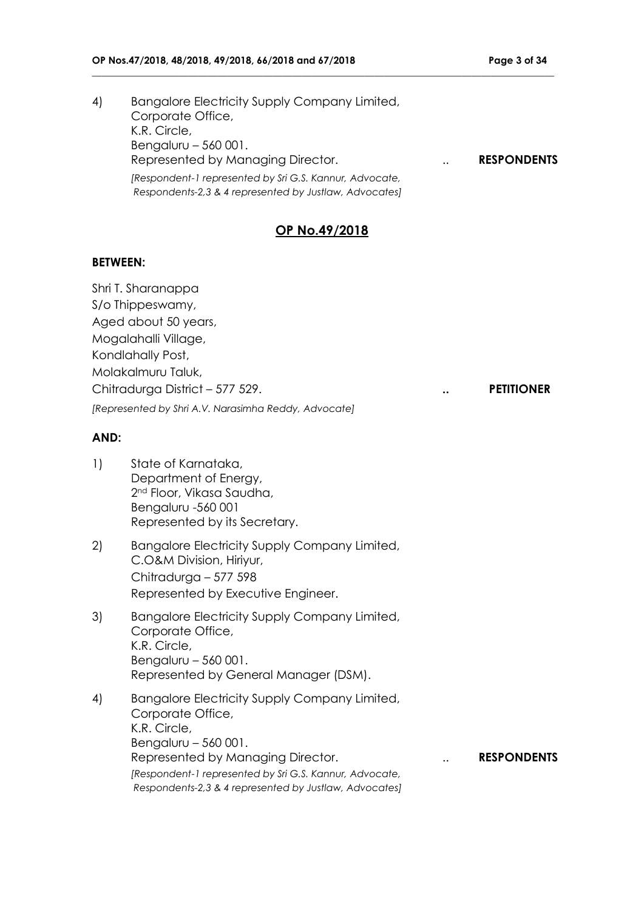4) Bangalore Electricity Supply Company Limited, Corporate Office, K.R. Circle, Bengaluru – 560 001. Represented by Managing Director. .. **RESPONDENTS** *[Respondent-1 represented by Sri G.S. Kannur, Advocate, Respondents-2,3 & 4 represented by Justlaw, Advocates]*

**\_\_\_\_\_\_\_\_\_\_\_\_\_\_\_\_\_\_\_\_\_\_\_\_\_\_\_\_\_\_\_\_\_\_\_\_\_\_\_\_\_\_\_\_\_\_\_\_\_\_\_\_\_\_\_\_\_\_\_\_\_\_\_\_\_\_\_\_\_\_\_\_\_\_\_\_\_\_\_\_\_\_\_\_\_\_\_\_\_\_\_\_\_\_\_**

# **OP No.49/2018**

## **BETWEEN:**

Shri T. Sharanappa S/o Thippeswamy, Aged about 50 years, Mogalahalli Village, Kondlahally Post, Molakalmuru Taluk, Chitradurga District – 577 529. **.. PETITIONER** *[Represented by Shri A.V. Narasimha Reddy, Advocate]*

## **AND:**

- 1) State of Karnataka, Department of Energy, 2nd Floor, Vikasa Saudha, Bengaluru -560 001 Represented by its Secretary.
- 2) Bangalore Electricity Supply Company Limited, C.O&M Division, Hiriyur, Chitradurga – 577 598 Represented by Executive Engineer.
- 3) Bangalore Electricity Supply Company Limited, Corporate Office, K.R. Circle, Bengaluru – 560 001. Represented by General Manager (DSM).
- 4) Bangalore Electricity Supply Company Limited, Corporate Office, K.R. Circle, Bengaluru – 560 001. Represented by Managing Director. **... RESPONDENTS** *[Respondent-1 represented by Sri G.S. Kannur, Advocate, Respondents-2,3 & 4 represented by Justlaw, Advocates]*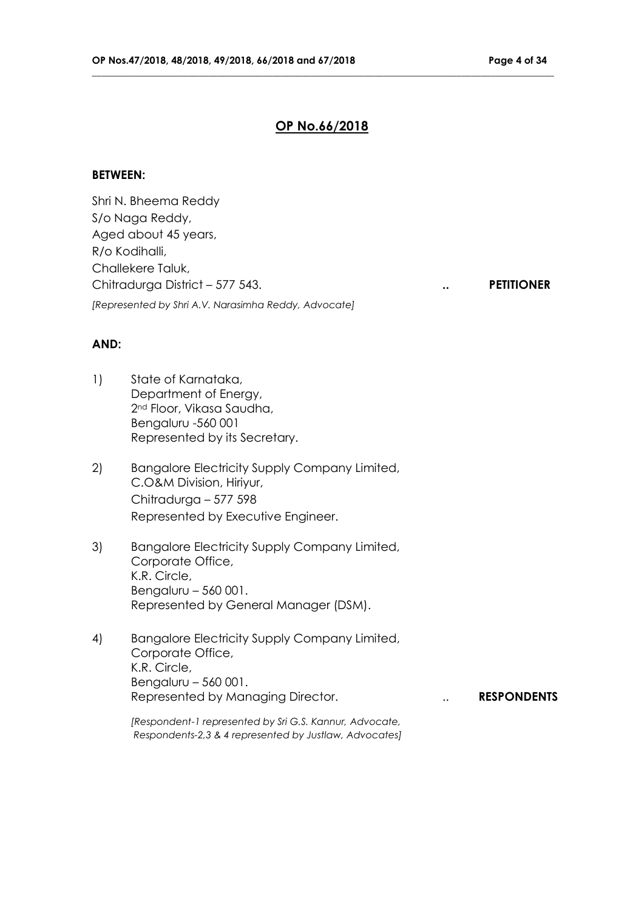## **OP No.66/2018**

**\_\_\_\_\_\_\_\_\_\_\_\_\_\_\_\_\_\_\_\_\_\_\_\_\_\_\_\_\_\_\_\_\_\_\_\_\_\_\_\_\_\_\_\_\_\_\_\_\_\_\_\_\_\_\_\_\_\_\_\_\_\_\_\_\_\_\_\_\_\_\_\_\_\_\_\_\_\_\_\_\_\_\_\_\_\_\_\_\_\_\_\_\_\_\_**

#### **BETWEEN:**

Shri N. Bheema Reddy S/o Naga Reddy, Aged about 45 years, R/o Kodihalli, Challekere Taluk, Chitradurga District – 577 543. **.. PETITIONER** *[Represented by Shri A.V. Narasimha Reddy, Advocate]*

## **AND:**

- 1) State of Karnataka, Department of Energy, 2nd Floor, Vikasa Saudha, Bengaluru -560 001 Represented by its Secretary.
- 2) Bangalore Electricity Supply Company Limited, C.O&M Division, Hiriyur, Chitradurga – 577 598 Represented by Executive Engineer.
- 3) Bangalore Electricity Supply Company Limited, Corporate Office, K.R. Circle, Bengaluru – 560 001. Represented by General Manager (DSM).
- 4) Bangalore Electricity Supply Company Limited, Corporate Office, K.R. Circle, Bengaluru – 560 001. Represented by Managing Director. **... RESPONDENTS**

*[Respondent-1 represented by Sri G.S. Kannur, Advocate, Respondents-2,3 & 4 represented by Justlaw, Advocates]*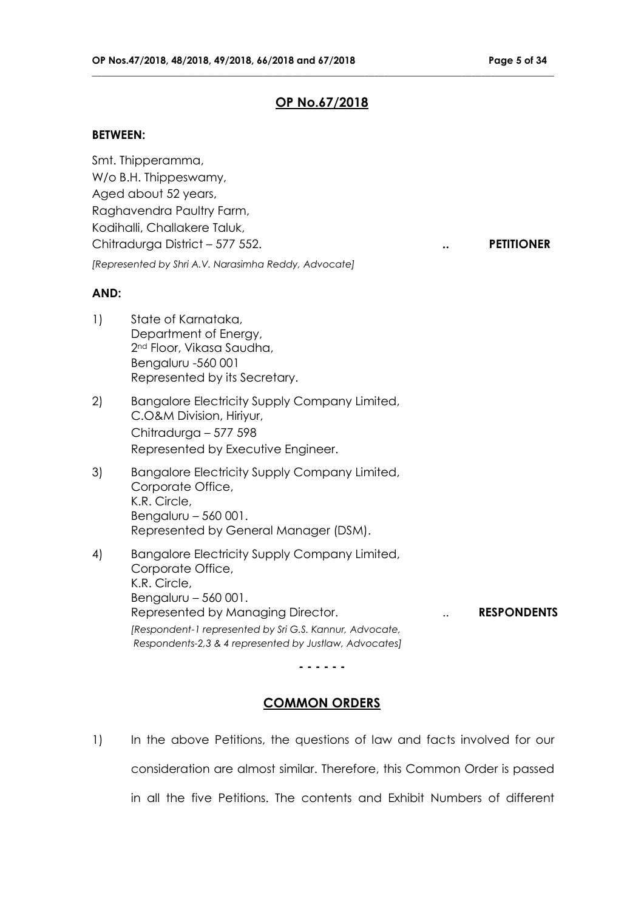## **OP No.67/2018**

**\_\_\_\_\_\_\_\_\_\_\_\_\_\_\_\_\_\_\_\_\_\_\_\_\_\_\_\_\_\_\_\_\_\_\_\_\_\_\_\_\_\_\_\_\_\_\_\_\_\_\_\_\_\_\_\_\_\_\_\_\_\_\_\_\_\_\_\_\_\_\_\_\_\_\_\_\_\_\_\_\_\_\_\_\_\_\_\_\_\_\_\_\_\_\_**

## **BETWEEN:**

Smt. Thipperamma, W/o B.H. Thippeswamy, Aged about 52 years, Raghavendra Paultry Farm, Kodihalli, Challakere Taluk, Chitradurga District – 577 552. **.. PETITIONER** *[Represented by Shri A.V. Narasimha Reddy, Advocate]*

## **AND:**

- 1) State of Karnataka, Department of Energy, 2nd Floor, Vikasa Saudha, Bengaluru -560 001 Represented by its Secretary.
- 2) Bangalore Electricity Supply Company Limited, C.O&M Division, Hiriyur, Chitradurga – 577 598 Represented by Executive Engineer.
- 3) Bangalore Electricity Supply Company Limited, Corporate Office, K.R. Circle, Bengaluru – 560 001. Represented by General Manager (DSM).
- 4) Bangalore Electricity Supply Company Limited, Corporate Office, K.R. Circle, Bengaluru – 560 001. Represented by Managing Director. **... RESPONDENTS** *[Respondent-1 represented by Sri G.S. Kannur, Advocate, Respondents-2,3 & 4 represented by Justlaw, Advocates]*

**- - - - - -**

## **COMMON ORDERS**

1) In the above Petitions, the questions of law and facts involved for our consideration are almost similar. Therefore, this Common Order is passed in all the five Petitions. The contents and Exhibit Numbers of different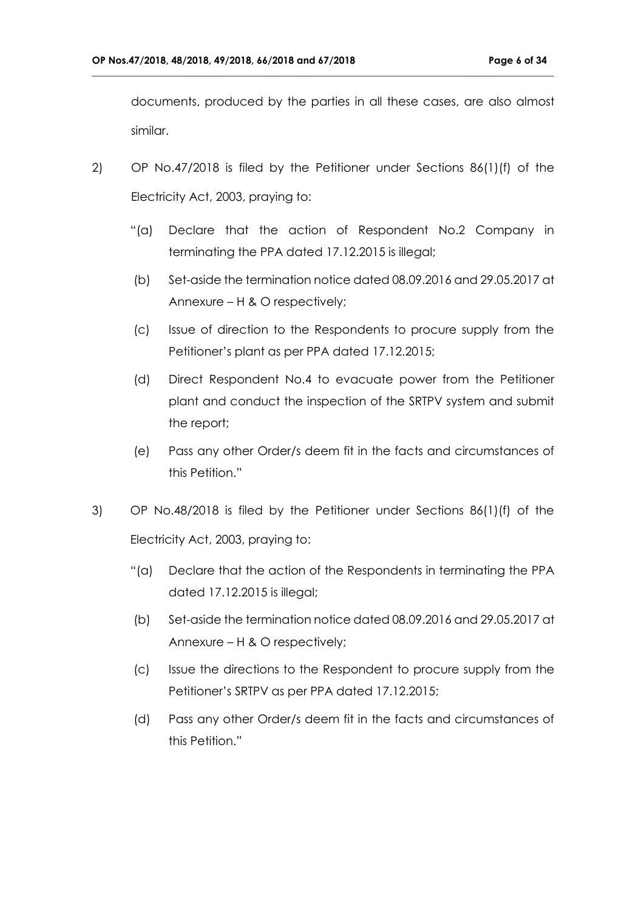documents, produced by the parties in all these cases, are also almost similar.

2) OP No.47/2018 is filed by the Petitioner under Sections 86(1)(f) of the Electricity Act, 2003, praying to:

- "(a) Declare that the action of Respondent No.2 Company in terminating the PPA dated 17.12.2015 is illegal;
- (b) Set-aside the termination notice dated 08.09.2016 and 29.05.2017 at Annexure – H & O respectively;
- (c) Issue of direction to the Respondents to procure supply from the Petitioner's plant as per PPA dated 17.12.2015;
- (d) Direct Respondent No.4 to evacuate power from the Petitioner plant and conduct the inspection of the SRTPV system and submit the report;
- (e) Pass any other Order/s deem fit in the facts and circumstances of this Petition."
- 3) OP No.48/2018 is filed by the Petitioner under Sections 86(1)(f) of the Electricity Act, 2003, praying to:
	- "(a) Declare that the action of the Respondents in terminating the PPA dated 17.12.2015 is illegal;
	- (b) Set-aside the termination notice dated 08.09.2016 and 29.05.2017 at Annexure – H & O respectively;
	- (c) Issue the directions to the Respondent to procure supply from the Petitioner's SRTPV as per PPA dated 17.12.2015;
	- (d) Pass any other Order/s deem fit in the facts and circumstances of this Petition."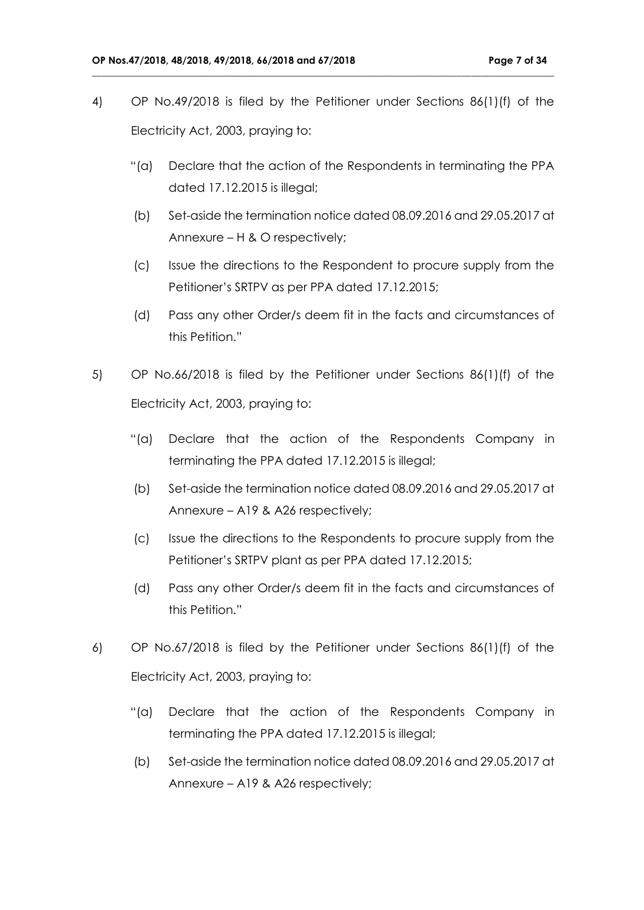4) OP No.49/2018 is filed by the Petitioner under Sections 86(1)(f) of the Electricity Act, 2003, praying to:

- "(a) Declare that the action of the Respondents in terminating the PPA dated 17.12.2015 is illegal;
- (b) Set-aside the termination notice dated 08.09.2016 and 29.05.2017 at Annexure – H & O respectively;
- (c) Issue the directions to the Respondent to procure supply from the Petitioner's SRTPV as per PPA dated 17.12.2015;
- (d) Pass any other Order/s deem fit in the facts and circumstances of this Petition."
- 5) OP No.66/2018 is filed by the Petitioner under Sections 86(1)(f) of the Electricity Act, 2003, praying to:
	- "(a) Declare that the action of the Respondents Company in terminating the PPA dated 17.12.2015 is illegal;
	- (b) Set-aside the termination notice dated 08.09.2016 and 29.05.2017 at Annexure – A19 & A26 respectively;
	- (c) Issue the directions to the Respondents to procure supply from the Petitioner's SRTPV plant as per PPA dated 17.12.2015;
	- (d) Pass any other Order/s deem fit in the facts and circumstances of this Petition."
- 6) OP No.67/2018 is filed by the Petitioner under Sections 86(1)(f) of the Electricity Act, 2003, praying to:
	- "(a) Declare that the action of the Respondents Company in terminating the PPA dated 17.12.2015 is illegal;
	- (b) Set-aside the termination notice dated 08.09.2016 and 29.05.2017 at Annexure – A19 & A26 respectively;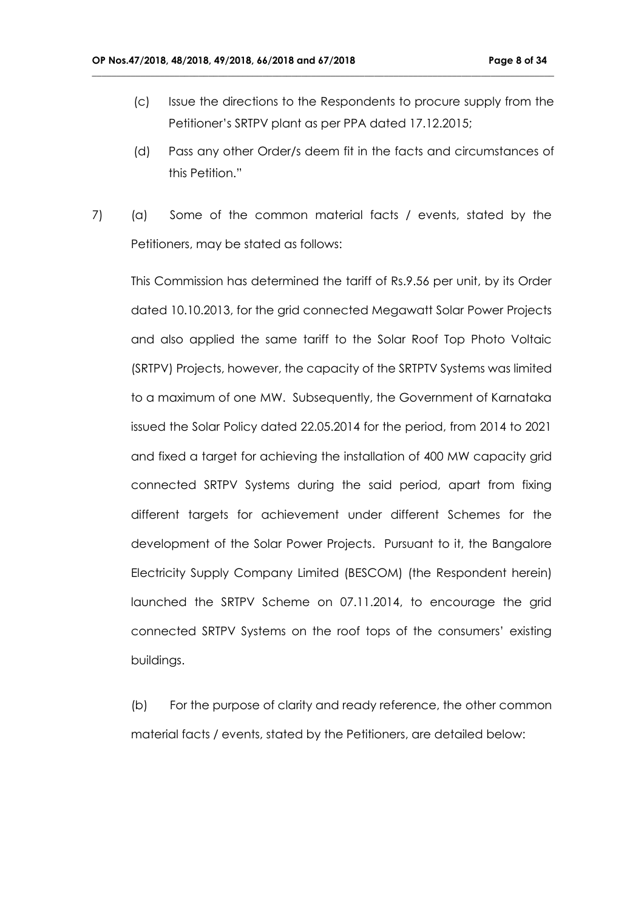(c) Issue the directions to the Respondents to procure supply from the Petitioner's SRTPV plant as per PPA dated 17.12.2015;

**\_\_\_\_\_\_\_\_\_\_\_\_\_\_\_\_\_\_\_\_\_\_\_\_\_\_\_\_\_\_\_\_\_\_\_\_\_\_\_\_\_\_\_\_\_\_\_\_\_\_\_\_\_\_\_\_\_\_\_\_\_\_\_\_\_\_\_\_\_\_\_\_\_\_\_\_\_\_\_\_\_\_\_\_\_\_\_\_\_\_\_\_\_\_\_**

- (d) Pass any other Order/s deem fit in the facts and circumstances of this Petition."
- 7) (a) Some of the common material facts / events, stated by the Petitioners, may be stated as follows:

This Commission has determined the tariff of Rs.9.56 per unit, by its Order dated 10.10.2013, for the grid connected Megawatt Solar Power Projects and also applied the same tariff to the Solar Roof Top Photo Voltaic (SRTPV) Projects, however, the capacity of the SRTPTV Systems was limited to a maximum of one MW. Subsequently, the Government of Karnataka issued the Solar Policy dated 22.05.2014 for the period, from 2014 to 2021 and fixed a target for achieving the installation of 400 MW capacity grid connected SRTPV Systems during the said period, apart from fixing different targets for achievement under different Schemes for the development of the Solar Power Projects. Pursuant to it, the Bangalore Electricity Supply Company Limited (BESCOM) (the Respondent herein) launched the SRTPV Scheme on 07.11.2014, to encourage the grid connected SRTPV Systems on the roof tops of the consumers' existing buildings.

(b) For the purpose of clarity and ready reference, the other common material facts / events, stated by the Petitioners, are detailed below: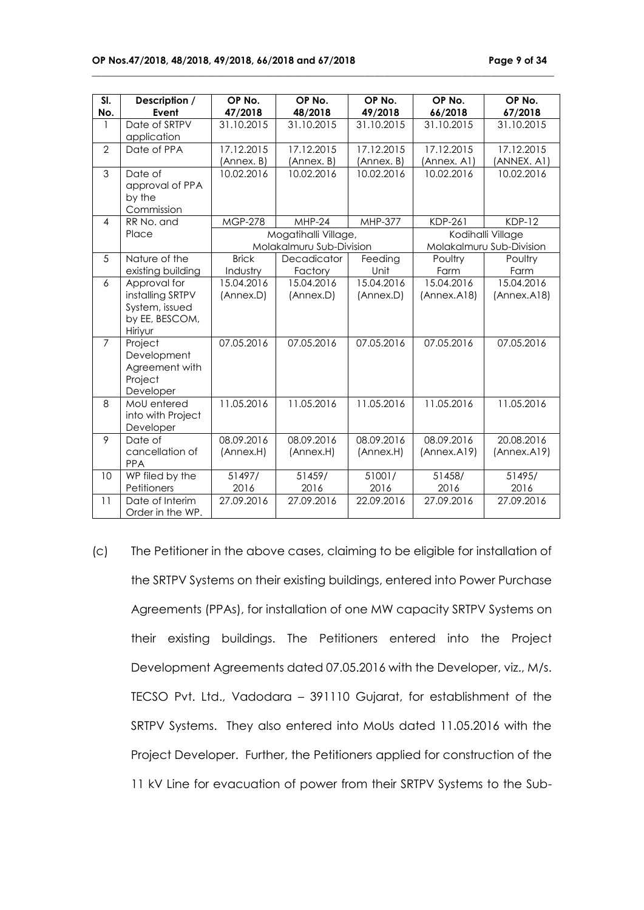| SI.            | Description /     | OP No.         | OP No.                   | OP No.     | OP No.                   | OP No.      |
|----------------|-------------------|----------------|--------------------------|------------|--------------------------|-------------|
| No.            | Event             | 47/2018        | 48/2018                  | 49/2018    | 66/2018                  | 67/2018     |
| 1              | Date of SRTPV     | 31.10.2015     | 31.10.2015               | 31.10.2015 | 31.10.2015               | 31.10.2015  |
|                | application       |                |                          |            |                          |             |
| $\overline{2}$ | Date of PPA       | 17.12.2015     | 17.12.2015               | 17.12.2015 | 17.12.2015               | 17.12.2015  |
|                |                   | (Annex. B)     | (Annex. B)               | (Annex. B) | (Annex. A1)              | (ANNEX. A1) |
| 3              | Date of           | 10.02.2016     | 10.02.2016               | 10.02.2016 | 10.02.2016               | 10.02.2016  |
|                | approval of PPA   |                |                          |            |                          |             |
|                | by the            |                |                          |            |                          |             |
|                | Commission        |                |                          |            |                          |             |
| $\overline{4}$ | RR No. and        | <b>MGP-278</b> | $MHP-24$                 | MHP-377    | KDP-261                  | $KDP-12$    |
|                | Place             |                | Mogatihalli Village,     |            | Kodihalli Village        |             |
|                |                   |                | Molakalmuru Sub-Division |            | Molakalmuru Sub-Division |             |
| 5              | Nature of the     | <b>Brick</b>   | Decadicator              | Feeding    | Poultry                  | Poultry     |
|                | existing building | Industry       | Factory                  | Unit       | Farm                     | Farm        |
| 6              | Approval for      | 15.04.2016     | 15.04.2016               | 15.04.2016 | 15.04.2016               | 15.04.2016  |
|                | installing SRTPV  | (Annex.D)      | (Annex.D)                | (Annex.D)  | (Annex.A18)              | (Annex.A18) |
|                | System, issued    |                |                          |            |                          |             |
|                | by EE, BESCOM,    |                |                          |            |                          |             |
|                | Hiriyur           |                |                          |            |                          |             |
| $\overline{7}$ | Project           | 07.05.2016     | 07.05.2016               | 07.05.2016 | 07.05.2016               | 07.05.2016  |
|                | Development       |                |                          |            |                          |             |
|                | Agreement with    |                |                          |            |                          |             |
|                | Project           |                |                          |            |                          |             |
|                | Developer         |                |                          |            |                          |             |
| 8              | MoU entered       | 11.05.2016     | 11.05.2016               | 11.05.2016 | 11.05.2016               | 11.05.2016  |
|                | into with Project |                |                          |            |                          |             |
|                | Developer         |                |                          |            |                          |             |
| 9              | Date of           | 08.09.2016     | 08.09.2016               | 08.09.2016 | 08.09.2016               | 20.08.2016  |
|                | cancellation of   | (Annex.H)      | (Annex.H)                | (Annex.H)  | (Annex.A19)              | (Annex.A19) |
|                | <b>PPA</b>        |                |                          |            |                          |             |
| 10             | WP filed by the   | 51497/         | 51459/                   | 51001/     | 51458/                   | 51495/      |
|                | Petitioners       | 2016           | 2016                     | 2016       | 2016                     | 2016        |
| 11             | Date of Interim   | 27.09.2016     | 27.09.2016               | 22.09.2016 | 27.09.2016               | 27.09.2016  |
|                | Order in the WP.  |                |                          |            |                          |             |

**\_\_\_\_\_\_\_\_\_\_\_\_\_\_\_\_\_\_\_\_\_\_\_\_\_\_\_\_\_\_\_\_\_\_\_\_\_\_\_\_\_\_\_\_\_\_\_\_\_\_\_\_\_\_\_\_\_\_\_\_\_\_\_\_\_\_\_\_\_\_\_\_\_\_\_\_\_\_\_\_\_\_\_\_\_\_\_\_\_\_\_\_\_\_\_**

(c) The Petitioner in the above cases, claiming to be eligible for installation of the SRTPV Systems on their existing buildings, entered into Power Purchase Agreements (PPAs), for installation of one MW capacity SRTPV Systems on their existing buildings. The Petitioners entered into the Project Development Agreements dated 07.05.2016 with the Developer, viz., M/s. TECSO Pvt. Ltd., Vadodara – 391110 Gujarat, for establishment of the SRTPV Systems. They also entered into MoUs dated 11.05.2016 with the Project Developer. Further, the Petitioners applied for construction of the 11 kV Line for evacuation of power from their SRTPV Systems to the Sub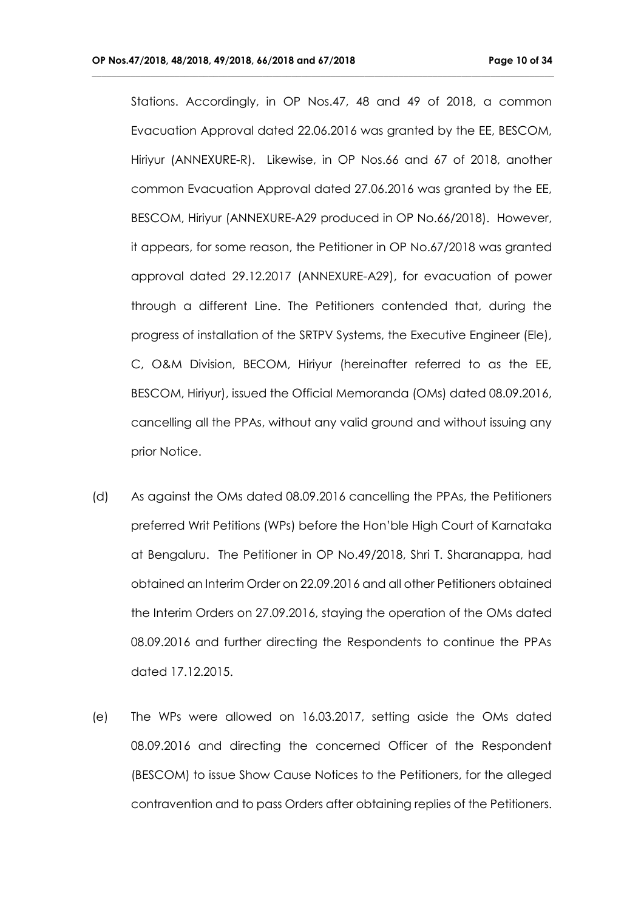Stations. Accordingly, in OP Nos.47, 48 and 49 of 2018, a common Evacuation Approval dated 22.06.2016 was granted by the EE, BESCOM, Hiriyur (ANNEXURE-R). Likewise, in OP Nos.66 and 67 of 2018, another common Evacuation Approval dated 27.06.2016 was granted by the EE, BESCOM, Hiriyur (ANNEXURE-A29 produced in OP No.66/2018). However, it appears, for some reason, the Petitioner in OP No.67/2018 was granted approval dated 29.12.2017 (ANNEXURE-A29), for evacuation of power through a different Line. The Petitioners contended that, during the progress of installation of the SRTPV Systems, the Executive Engineer (Ele), C, O&M Division, BECOM, Hiriyur (hereinafter referred to as the EE, BESCOM, Hiriyur), issued the Official Memoranda (OMs) dated 08.09.2016, cancelling all the PPAs, without any valid ground and without issuing any prior Notice.

- (d) As against the OMs dated 08.09.2016 cancelling the PPAs, the Petitioners preferred Writ Petitions (WPs) before the Hon'ble High Court of Karnataka at Bengaluru. The Petitioner in OP No.49/2018, Shri T. Sharanappa, had obtained an Interim Order on 22.09.2016 and all other Petitioners obtained the Interim Orders on 27.09.2016, staying the operation of the OMs dated 08.09.2016 and further directing the Respondents to continue the PPAs dated 17.12.2015.
- (e) The WPs were allowed on 16.03.2017, setting aside the OMs dated 08.09.2016 and directing the concerned Officer of the Respondent (BESCOM) to issue Show Cause Notices to the Petitioners, for the alleged contravention and to pass Orders after obtaining replies of the Petitioners.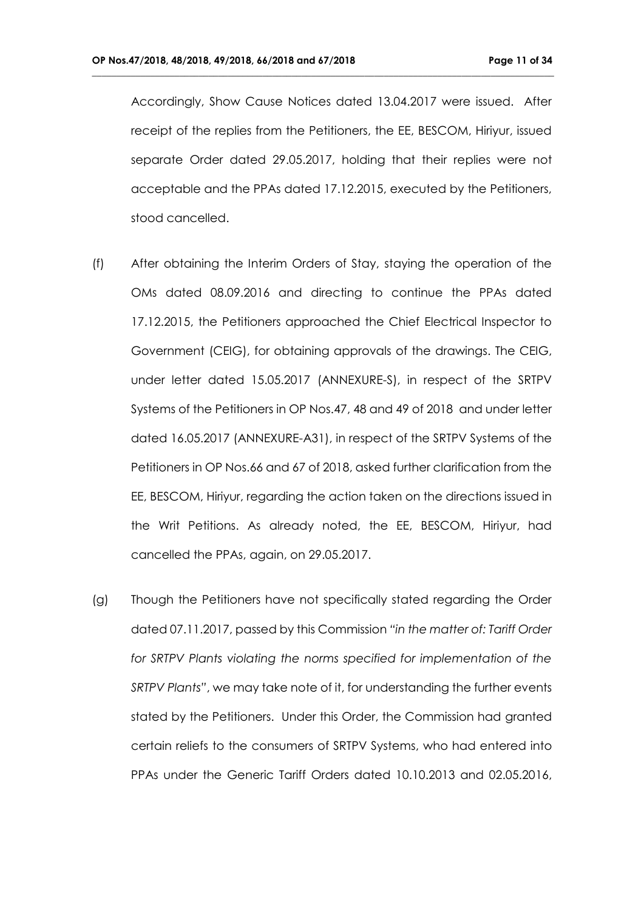Accordingly, Show Cause Notices dated 13.04.2017 were issued. After receipt of the replies from the Petitioners, the EE, BESCOM, Hiriyur, issued separate Order dated 29.05.2017, holding that their replies were not acceptable and the PPAs dated 17.12.2015, executed by the Petitioners, stood cancelled.

- (f) After obtaining the Interim Orders of Stay, staying the operation of the OMs dated 08.09.2016 and directing to continue the PPAs dated 17.12.2015, the Petitioners approached the Chief Electrical Inspector to Government (CEIG), for obtaining approvals of the drawings. The CEIG, under letter dated 15.05.2017 (ANNEXURE-S), in respect of the SRTPV Systems of the Petitioners in OP Nos.47, 48 and 49 of 2018 and under letter dated 16.05.2017 (ANNEXURE-A31), in respect of the SRTPV Systems of the Petitioners in OP Nos.66 and 67 of 2018, asked further clarification from the EE, BESCOM, Hiriyur, regarding the action taken on the directions issued in the Writ Petitions. As already noted, the EE, BESCOM, Hiriyur, had cancelled the PPAs, again, on 29.05.2017.
- (g) Though the Petitioners have not specifically stated regarding the Order dated 07.11.2017, passed by this Commission *"in the matter of: Tariff Order*  for SRTPV Plants violating the norms specified for implementation of the *SRTPV Plants"*, we may take note of it, for understanding the further events stated by the Petitioners. Under this Order, the Commission had granted certain reliefs to the consumers of SRTPV Systems, who had entered into PPAs under the Generic Tariff Orders dated 10.10.2013 and 02.05.2016,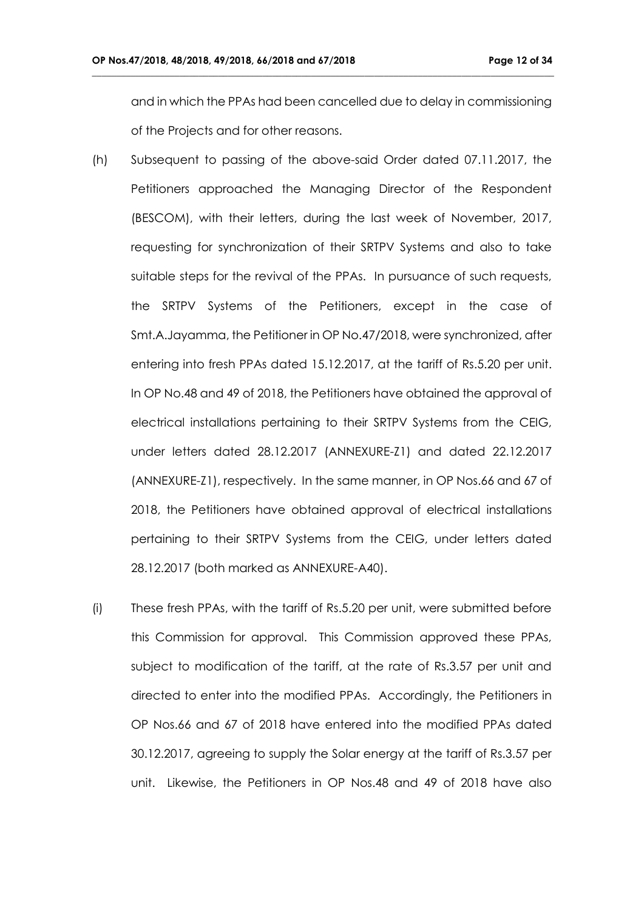and in which the PPAs had been cancelled due to delay in commissioning of the Projects and for other reasons.

- (h) Subsequent to passing of the above-said Order dated 07.11.2017, the Petitioners approached the Managing Director of the Respondent (BESCOM), with their letters, during the last week of November, 2017, requesting for synchronization of their SRTPV Systems and also to take suitable steps for the revival of the PPAs. In pursuance of such requests, the SRTPV Systems of the Petitioners, except in the case of Smt.A.Jayamma, the Petitioner in OP No.47/2018, were synchronized, after entering into fresh PPAs dated 15.12.2017, at the tariff of Rs.5.20 per unit. In OP No.48 and 49 of 2018, the Petitioners have obtained the approval of electrical installations pertaining to their SRTPV Systems from the CEIG, under letters dated 28.12.2017 (ANNEXURE-Z1) and dated 22.12.2017 (ANNEXURE-Z1), respectively. In the same manner, in OP Nos.66 and 67 of 2018, the Petitioners have obtained approval of electrical installations pertaining to their SRTPV Systems from the CEIG, under letters dated 28.12.2017 (both marked as ANNEXURE-A40).
- (i) These fresh PPAs, with the tariff of Rs.5.20 per unit, were submitted before this Commission for approval. This Commission approved these PPAs, subject to modification of the tariff, at the rate of Rs.3.57 per unit and directed to enter into the modified PPAs. Accordingly, the Petitioners in OP Nos.66 and 67 of 2018 have entered into the modified PPAs dated 30.12.2017, agreeing to supply the Solar energy at the tariff of Rs.3.57 per unit. Likewise, the Petitioners in OP Nos.48 and 49 of 2018 have also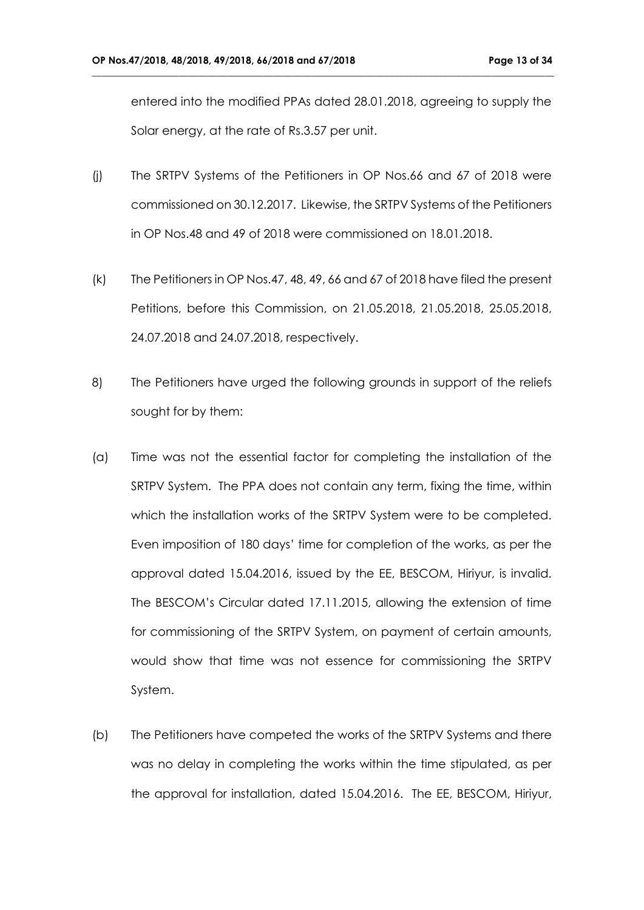entered into the modified PPAs dated 28.01.2018, agreeing to supply the Solar energy, at the rate of Rs.3.57 per unit.

- (j) The SRTPV Systems of the Petitioners in OP Nos.66 and 67 of 2018 were commissioned on 30.12.2017. Likewise, the SRTPV Systems of the Petitioners in OP Nos.48 and 49 of 2018 were commissioned on 18.01.2018.
- (k) The Petitioners in OP Nos.47, 48, 49, 66 and 67 of 2018 have filed the present Petitions, before this Commission, on 21.05.2018, 21.05.2018, 25.05.2018, 24.07.2018 and 24.07.2018, respectively.
- 8) The Petitioners have urged the following grounds in support of the reliefs sought for by them:
- (a) Time was not the essential factor for completing the installation of the SRTPV System. The PPA does not contain any term, fixing the time, within which the installation works of the SRTPV System were to be completed. Even imposition of 180 days' time for completion of the works, as per the approval dated 15.04.2016, issued by the EE, BESCOM, Hiriyur, is invalid. The BESCOM's Circular dated 17.11.2015, allowing the extension of time for commissioning of the SRTPV System, on payment of certain amounts, would show that time was not essence for commissioning the SRTPV System.
- (b) The Petitioners have competed the works of the SRTPV Systems and there was no delay in completing the works within the time stipulated, as per the approval for installation, dated 15.04.2016. The EE, BESCOM, Hiriyur,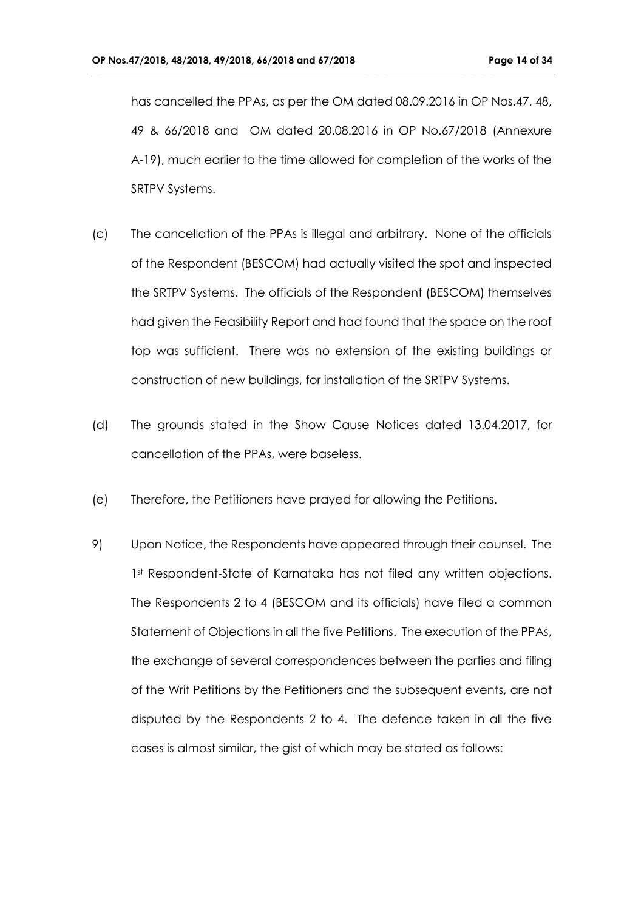has cancelled the PPAs, as per the OM dated 08.09.2016 in OP Nos.47, 48, 49 & 66/2018 and OM dated 20.08.2016 in OP No.67/2018 (Annexure A-19), much earlier to the time allowed for completion of the works of the SRTPV Systems.

- (c) The cancellation of the PPAs is illegal and arbitrary. None of the officials of the Respondent (BESCOM) had actually visited the spot and inspected the SRTPV Systems. The officials of the Respondent (BESCOM) themselves had given the Feasibility Report and had found that the space on the roof top was sufficient. There was no extension of the existing buildings or construction of new buildings, for installation of the SRTPV Systems.
- (d) The grounds stated in the Show Cause Notices dated 13.04.2017, for cancellation of the PPAs, were baseless.
- (e) Therefore, the Petitioners have prayed for allowing the Petitions.
- 9) Upon Notice, the Respondents have appeared through their counsel. The 1st Respondent-State of Karnataka has not filed any written objections. The Respondents 2 to 4 (BESCOM and its officials) have filed a common Statement of Objections in all the five Petitions. The execution of the PPAs, the exchange of several correspondences between the parties and filing of the Writ Petitions by the Petitioners and the subsequent events, are not disputed by the Respondents 2 to 4. The defence taken in all the five cases is almost similar, the gist of which may be stated as follows: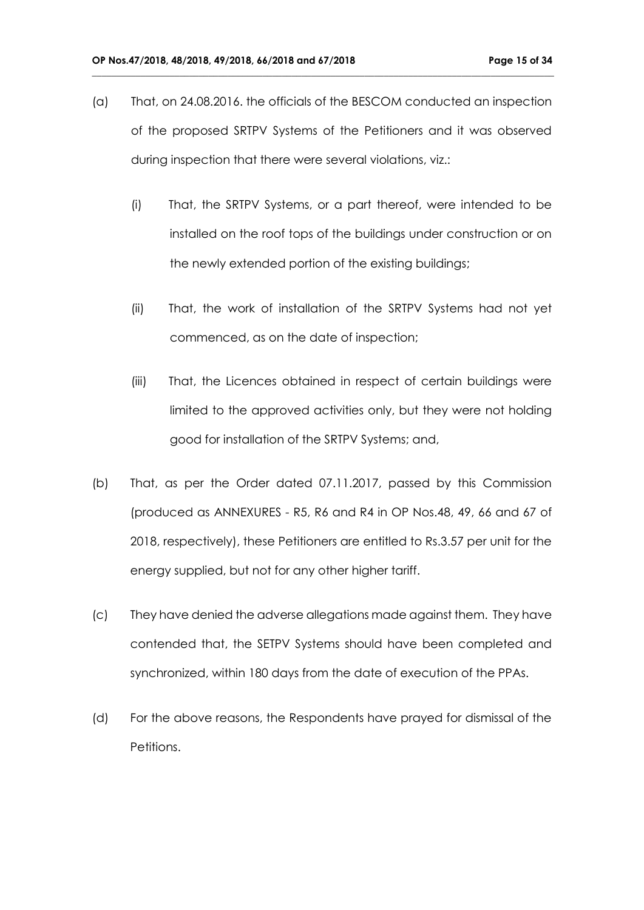(a) That, on 24.08.2016. the officials of the BESCOM conducted an inspection of the proposed SRTPV Systems of the Petitioners and it was observed during inspection that there were several violations, viz.:

- (i) That, the SRTPV Systems, or a part thereof, were intended to be installed on the roof tops of the buildings under construction or on the newly extended portion of the existing buildings;
- (ii) That, the work of installation of the SRTPV Systems had not yet commenced, as on the date of inspection;
- (iii) That, the Licences obtained in respect of certain buildings were limited to the approved activities only, but they were not holding good for installation of the SRTPV Systems; and,
- (b) That, as per the Order dated 07.11.2017, passed by this Commission (produced as ANNEXURES - R5, R6 and R4 in OP Nos.48, 49, 66 and 67 of 2018, respectively), these Petitioners are entitled to Rs.3.57 per unit for the energy supplied, but not for any other higher tariff.
- (c) They have denied the adverse allegations made against them. They have contended that, the SETPV Systems should have been completed and synchronized, within 180 days from the date of execution of the PPAs.
- (d) For the above reasons, the Respondents have prayed for dismissal of the Petitions.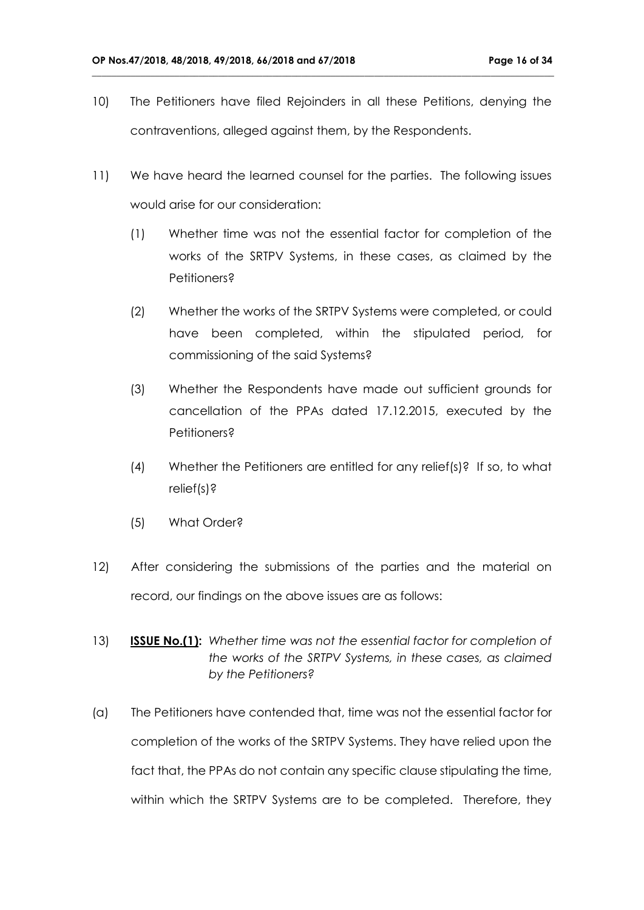10) The Petitioners have filed Rejoinders in all these Petitions, denying the contraventions, alleged against them, by the Respondents.

- 11) We have heard the learned counsel for the parties. The following issues would arise for our consideration:
	- (1) Whether time was not the essential factor for completion of the works of the SRTPV Systems, in these cases, as claimed by the Petitioners?
	- (2) Whether the works of the SRTPV Systems were completed, or could have been completed, within the stipulated period, for commissioning of the said Systems?
	- (3) Whether the Respondents have made out sufficient grounds for cancellation of the PPAs dated 17.12.2015, executed by the Petitioners?
	- (4) Whether the Petitioners are entitled for any relief(s)? If so, to what relief(s)?
	- (5) What Order?
- 12) After considering the submissions of the parties and the material on record, our findings on the above issues are as follows:
- 13) **ISSUE No.(1):** *Whether time was not the essential factor for completion of the works of the SRTPV Systems, in these cases, as claimed by the Petitioners?*
- (a) The Petitioners have contended that, time was not the essential factor for completion of the works of the SRTPV Systems. They have relied upon the fact that, the PPAs do not contain any specific clause stipulating the time, within which the SRTPV Systems are to be completed. Therefore, they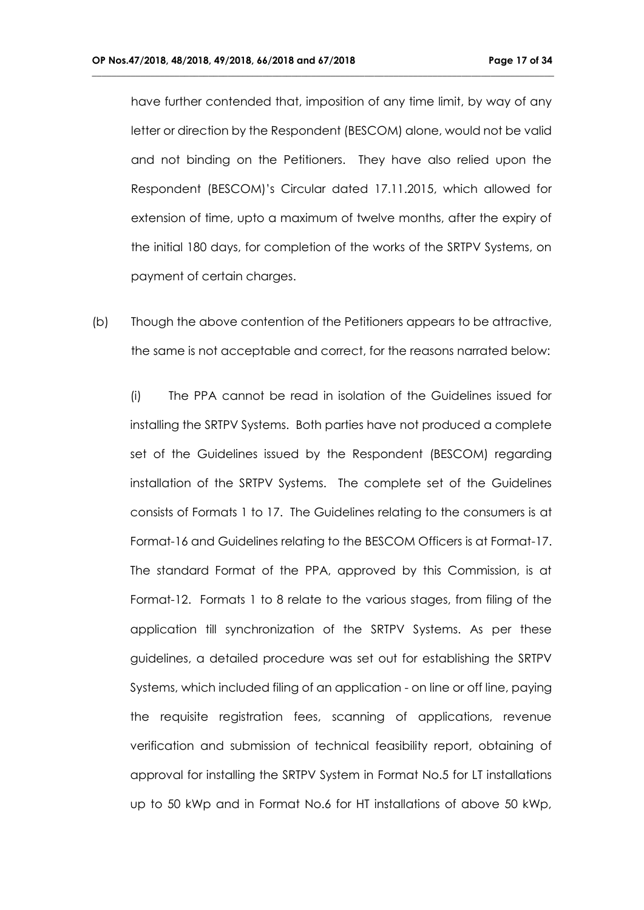have further contended that, imposition of any time limit, by way of any letter or direction by the Respondent (BESCOM) alone, would not be valid and not binding on the Petitioners. They have also relied upon the Respondent (BESCOM)'s Circular dated 17.11.2015, which allowed for extension of time, upto a maximum of twelve months, after the expiry of the initial 180 days, for completion of the works of the SRTPV Systems, on payment of certain charges.

**\_\_\_\_\_\_\_\_\_\_\_\_\_\_\_\_\_\_\_\_\_\_\_\_\_\_\_\_\_\_\_\_\_\_\_\_\_\_\_\_\_\_\_\_\_\_\_\_\_\_\_\_\_\_\_\_\_\_\_\_\_\_\_\_\_\_\_\_\_\_\_\_\_\_\_\_\_\_\_\_\_\_\_\_\_\_\_\_\_\_\_\_\_\_\_**

(b) Though the above contention of the Petitioners appears to be attractive, the same is not acceptable and correct, for the reasons narrated below:

(i) The PPA cannot be read in isolation of the Guidelines issued for installing the SRTPV Systems. Both parties have not produced a complete set of the Guidelines issued by the Respondent (BESCOM) regarding installation of the SRTPV Systems. The complete set of the Guidelines consists of Formats 1 to 17. The Guidelines relating to the consumers is at Format-16 and Guidelines relating to the BESCOM Officers is at Format-17. The standard Format of the PPA, approved by this Commission, is at Format-12. Formats 1 to 8 relate to the various stages, from filing of the application till synchronization of the SRTPV Systems. As per these guidelines, a detailed procedure was set out for establishing the SRTPV Systems, which included filing of an application - on line or off line, paying the requisite registration fees, scanning of applications, revenue verification and submission of technical feasibility report, obtaining of approval for installing the SRTPV System in Format No.5 for LT installations up to 50 kWp and in Format No.6 for HT installations of above 50 kWp,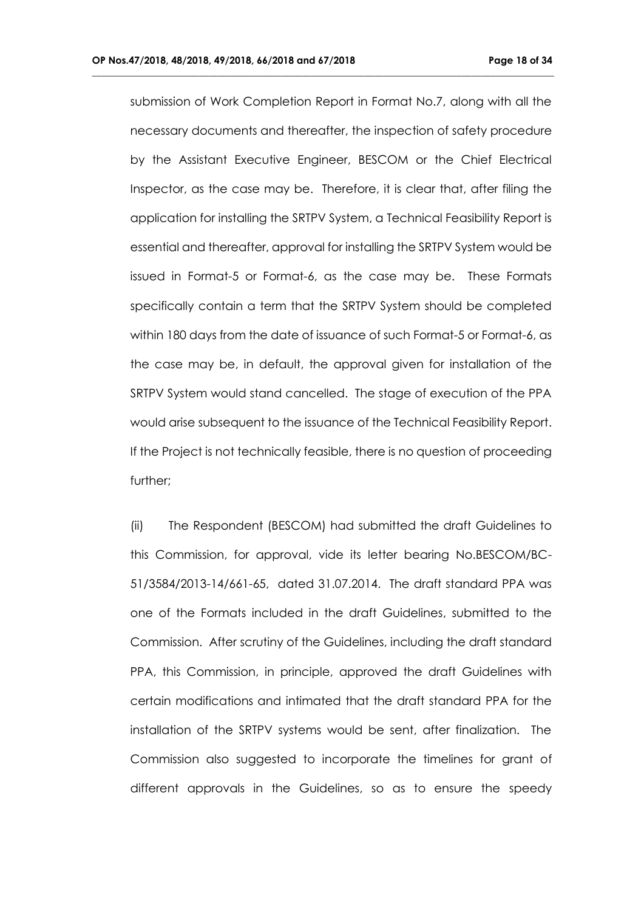submission of Work Completion Report in Format No.7, along with all the necessary documents and thereafter, the inspection of safety procedure by the Assistant Executive Engineer, BESCOM or the Chief Electrical Inspector, as the case may be. Therefore, it is clear that, after filing the application for installing the SRTPV System, a Technical Feasibility Report is essential and thereafter, approval for installing the SRTPV System would be issued in Format-5 or Format-6, as the case may be. These Formats specifically contain a term that the SRTPV System should be completed within 180 days from the date of issuance of such Format-5 or Format-6, as the case may be, in default, the approval given for installation of the SRTPV System would stand cancelled. The stage of execution of the PPA would arise subsequent to the issuance of the Technical Feasibility Report. If the Project is not technically feasible, there is no question of proceeding further;

**\_\_\_\_\_\_\_\_\_\_\_\_\_\_\_\_\_\_\_\_\_\_\_\_\_\_\_\_\_\_\_\_\_\_\_\_\_\_\_\_\_\_\_\_\_\_\_\_\_\_\_\_\_\_\_\_\_\_\_\_\_\_\_\_\_\_\_\_\_\_\_\_\_\_\_\_\_\_\_\_\_\_\_\_\_\_\_\_\_\_\_\_\_\_\_**

(ii) The Respondent (BESCOM) had submitted the draft Guidelines to this Commission, for approval, vide its letter bearing No.BESCOM/BC-51/3584/2013-14/661-65, dated 31.07.2014. The draft standard PPA was one of the Formats included in the draft Guidelines, submitted to the Commission. After scrutiny of the Guidelines, including the draft standard PPA, this Commission, in principle, approved the draft Guidelines with certain modifications and intimated that the draft standard PPA for the installation of the SRTPV systems would be sent, after finalization. The Commission also suggested to incorporate the timelines for grant of different approvals in the Guidelines, so as to ensure the speedy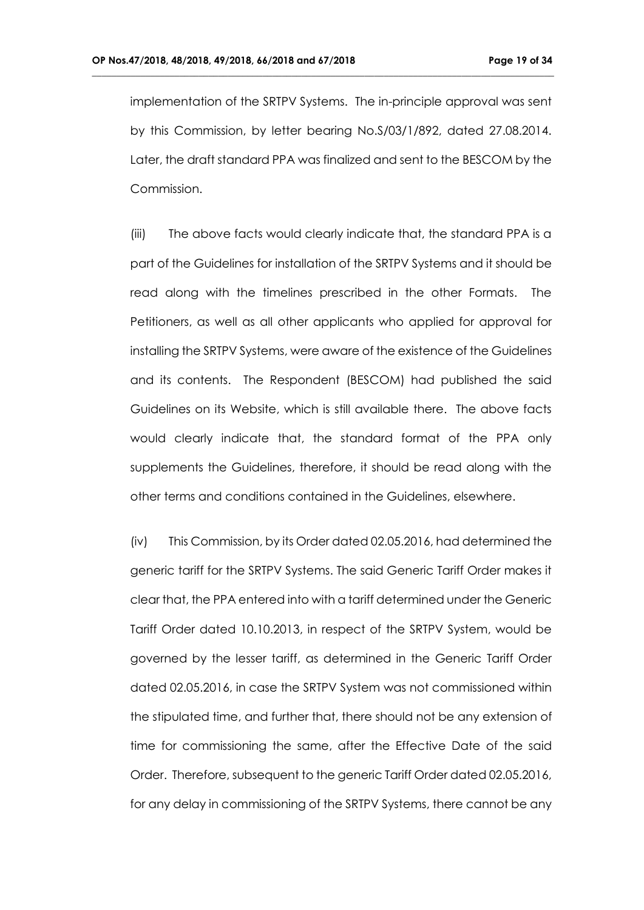implementation of the SRTPV Systems. The in-principle approval was sent by this Commission, by letter bearing No.S/03/1/892, dated 27.08.2014. Later, the draft standard PPA was finalized and sent to the BESCOM by the Commission.

**\_\_\_\_\_\_\_\_\_\_\_\_\_\_\_\_\_\_\_\_\_\_\_\_\_\_\_\_\_\_\_\_\_\_\_\_\_\_\_\_\_\_\_\_\_\_\_\_\_\_\_\_\_\_\_\_\_\_\_\_\_\_\_\_\_\_\_\_\_\_\_\_\_\_\_\_\_\_\_\_\_\_\_\_\_\_\_\_\_\_\_\_\_\_\_**

(iii) The above facts would clearly indicate that, the standard PPA is a part of the Guidelines for installation of the SRTPV Systems and it should be read along with the timelines prescribed in the other Formats. The Petitioners, as well as all other applicants who applied for approval for installing the SRTPV Systems, were aware of the existence of the Guidelines and its contents. The Respondent (BESCOM) had published the said Guidelines on its Website, which is still available there. The above facts would clearly indicate that, the standard format of the PPA only supplements the Guidelines, therefore, it should be read along with the other terms and conditions contained in the Guidelines, elsewhere.

(iv) This Commission, by its Order dated 02.05.2016, had determined the generic tariff for the SRTPV Systems. The said Generic Tariff Order makes it clear that, the PPA entered into with a tariff determined under the Generic Tariff Order dated 10.10.2013, in respect of the SRTPV System, would be governed by the lesser tariff, as determined in the Generic Tariff Order dated 02.05.2016, in case the SRTPV System was not commissioned within the stipulated time, and further that, there should not be any extension of time for commissioning the same, after the Effective Date of the said Order. Therefore, subsequent to the generic Tariff Order dated 02.05.2016, for any delay in commissioning of the SRTPV Systems, there cannot be any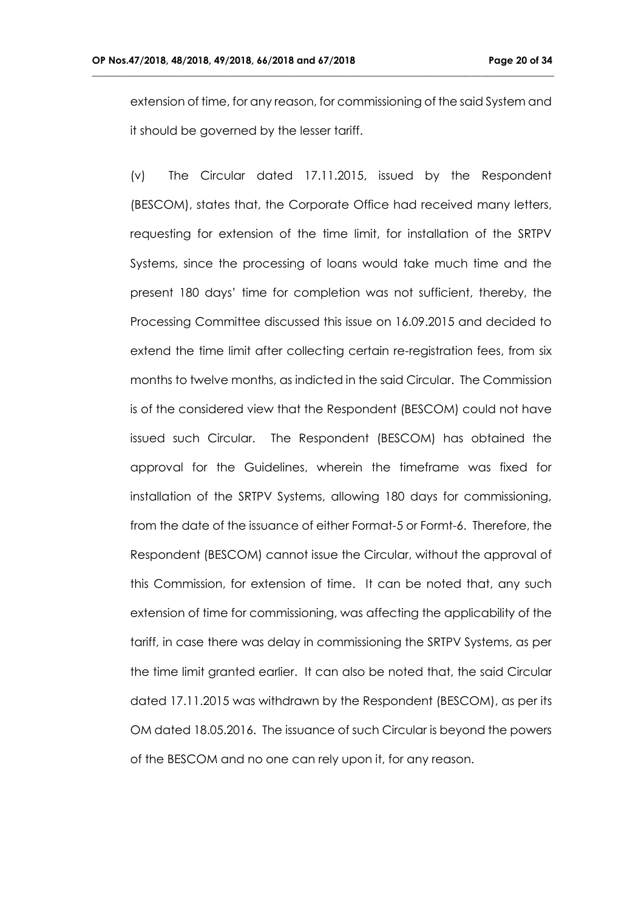extension of time, for any reason, for commissioning of the said System and it should be governed by the lesser tariff.

**\_\_\_\_\_\_\_\_\_\_\_\_\_\_\_\_\_\_\_\_\_\_\_\_\_\_\_\_\_\_\_\_\_\_\_\_\_\_\_\_\_\_\_\_\_\_\_\_\_\_\_\_\_\_\_\_\_\_\_\_\_\_\_\_\_\_\_\_\_\_\_\_\_\_\_\_\_\_\_\_\_\_\_\_\_\_\_\_\_\_\_\_\_\_\_**

(v) The Circular dated 17.11.2015, issued by the Respondent (BESCOM), states that, the Corporate Office had received many letters, requesting for extension of the time limit, for installation of the SRTPV Systems, since the processing of loans would take much time and the present 180 days' time for completion was not sufficient, thereby, the Processing Committee discussed this issue on 16.09.2015 and decided to extend the time limit after collecting certain re-registration fees, from six months to twelve months, as indicted in the said Circular. The Commission is of the considered view that the Respondent (BESCOM) could not have issued such Circular. The Respondent (BESCOM) has obtained the approval for the Guidelines, wherein the timeframe was fixed for installation of the SRTPV Systems, allowing 180 days for commissioning, from the date of the issuance of either Format-5 or Formt-6. Therefore, the Respondent (BESCOM) cannot issue the Circular, without the approval of this Commission, for extension of time. It can be noted that, any such extension of time for commissioning, was affecting the applicability of the tariff, in case there was delay in commissioning the SRTPV Systems, as per the time limit granted earlier. It can also be noted that, the said Circular dated 17.11.2015 was withdrawn by the Respondent (BESCOM), as per its OM dated 18.05.2016. The issuance of such Circular is beyond the powers of the BESCOM and no one can rely upon it, for any reason.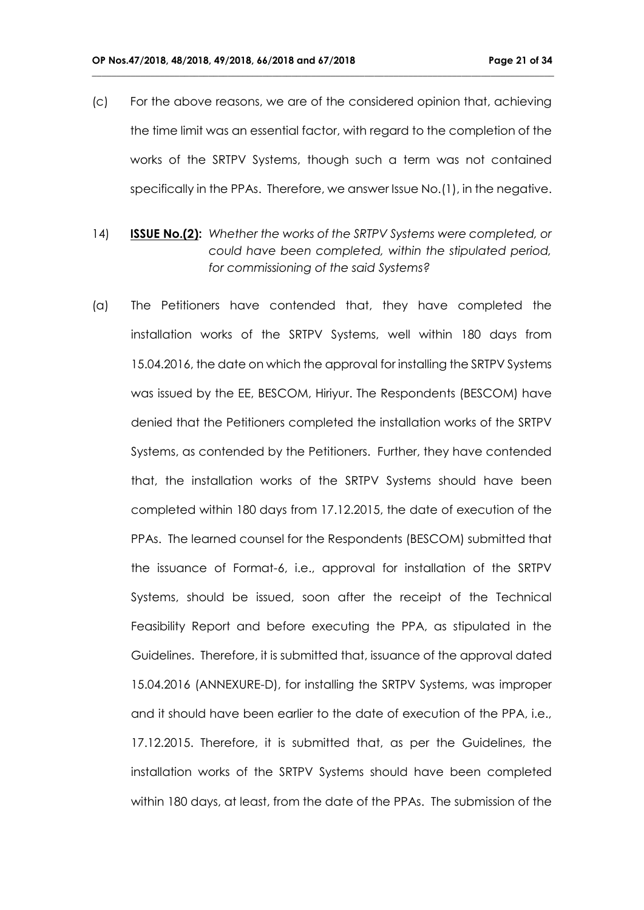(c) For the above reasons, we are of the considered opinion that, achieving the time limit was an essential factor, with regard to the completion of the works of the SRTPV Systems, though such a term was not contained specifically in the PPAs. Therefore, we answer Issue No.(1), in the negative.

- 14) **ISSUE No.(2):** *Whether the works of the SRTPV Systems were completed, or could have been completed, within the stipulated period, for commissioning of the said Systems?*
- (a) The Petitioners have contended that, they have completed the installation works of the SRTPV Systems, well within 180 days from 15.04.2016, the date on which the approval for installing the SRTPV Systems was issued by the EE, BESCOM, Hiriyur. The Respondents (BESCOM) have denied that the Petitioners completed the installation works of the SRTPV Systems, as contended by the Petitioners. Further, they have contended that, the installation works of the SRTPV Systems should have been completed within 180 days from 17.12.2015, the date of execution of the PPAs. The learned counsel for the Respondents (BESCOM) submitted that the issuance of Format-6, i.e., approval for installation of the SRTPV Systems, should be issued, soon after the receipt of the Technical Feasibility Report and before executing the PPA, as stipulated in the Guidelines. Therefore, it is submitted that, issuance of the approval dated 15.04.2016 (ANNEXURE-D), for installing the SRTPV Systems, was improper and it should have been earlier to the date of execution of the PPA, i.e., 17.12.2015. Therefore, it is submitted that, as per the Guidelines, the installation works of the SRTPV Systems should have been completed within 180 days, at least, from the date of the PPAs. The submission of the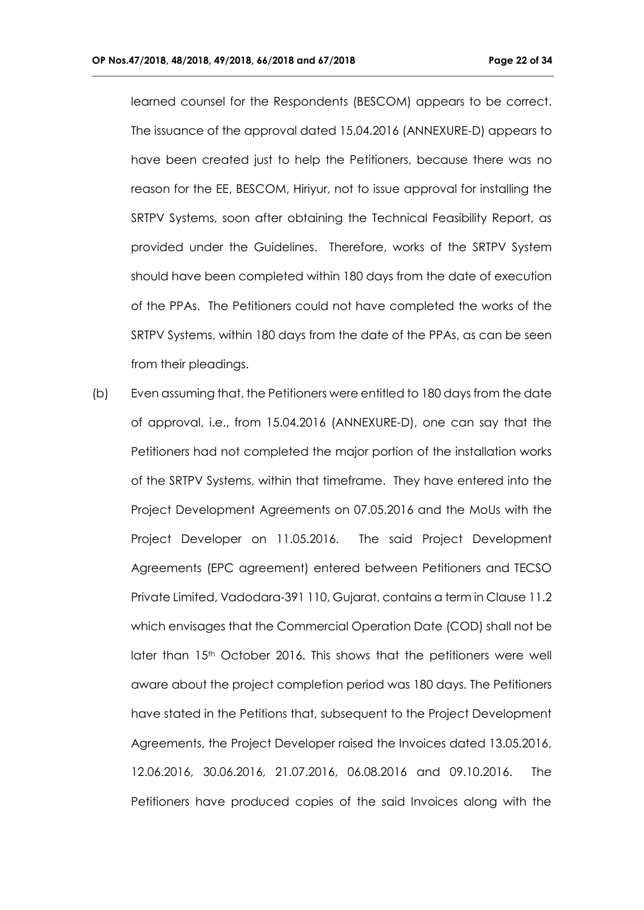learned counsel for the Respondents (BESCOM) appears to be correct. The issuance of the approval dated 15.04.2016 (ANNEXURE-D) appears to have been created just to help the Petitioners, because there was no reason for the EE, BESCOM, Hiriyur, not to issue approval for installing the SRTPV Systems, soon after obtaining the Technical Feasibility Report, as provided under the Guidelines. Therefore, works of the SRTPV System should have been completed within 180 days from the date of execution of the PPAs. The Petitioners could not have completed the works of the SRTPV Systems, within 180 days from the date of the PPAs, as can be seen from their pleadings.

**\_\_\_\_\_\_\_\_\_\_\_\_\_\_\_\_\_\_\_\_\_\_\_\_\_\_\_\_\_\_\_\_\_\_\_\_\_\_\_\_\_\_\_\_\_\_\_\_\_\_\_\_\_\_\_\_\_\_\_\_\_\_\_\_\_\_\_\_\_\_\_\_\_\_\_\_\_\_\_\_\_\_\_\_\_\_\_\_\_\_\_\_\_\_\_**

(b) Even assuming that, the Petitioners were entitled to 180 days from the date of approval, i.e., from 15.04.2016 (ANNEXURE-D), one can say that the Petitioners had not completed the major portion of the installation works of the SRTPV Systems, within that timeframe. They have entered into the Project Development Agreements on 07.05.2016 and the MoUs with the Project Developer on 11.05.2016. The said Project Development Agreements (EPC agreement) entered between Petitioners and TECSO Private Limited, Vadodara-391 110, Gujarat, contains a term in Clause 11.2 which envisages that the Commercial Operation Date (COD) shall not be later than 15<sup>th</sup> October 2016. This shows that the petitioners were well aware about the project completion period was 180 days. The Petitioners have stated in the Petitions that, subsequent to the Project Development Agreements, the Project Developer raised the Invoices dated 13.05.2016, 12.06.2016, 30.06.2016, 21.07.2016, 06.08.2016 and 09.10.2016. The Petitioners have produced copies of the said Invoices along with the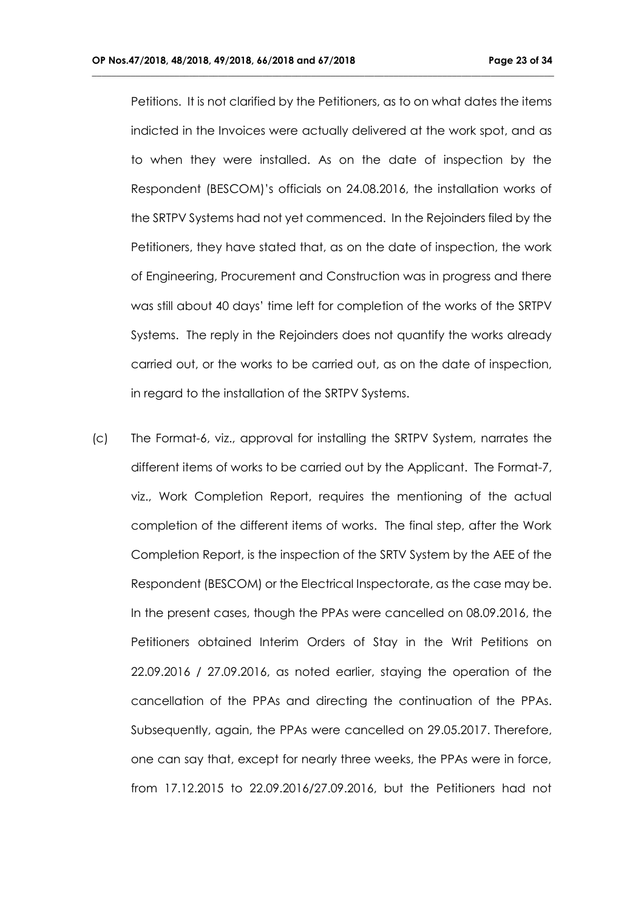Petitions. It is not clarified by the Petitioners, as to on what dates the items indicted in the Invoices were actually delivered at the work spot, and as to when they were installed. As on the date of inspection by the Respondent (BESCOM)'s officials on 24.08.2016, the installation works of the SRTPV Systems had not yet commenced. In the Rejoinders filed by the Petitioners, they have stated that, as on the date of inspection, the work of Engineering, Procurement and Construction was in progress and there was still about 40 days' time left for completion of the works of the SRTPV Systems. The reply in the Rejoinders does not quantify the works already carried out, or the works to be carried out, as on the date of inspection, in regard to the installation of the SRTPV Systems.

**\_\_\_\_\_\_\_\_\_\_\_\_\_\_\_\_\_\_\_\_\_\_\_\_\_\_\_\_\_\_\_\_\_\_\_\_\_\_\_\_\_\_\_\_\_\_\_\_\_\_\_\_\_\_\_\_\_\_\_\_\_\_\_\_\_\_\_\_\_\_\_\_\_\_\_\_\_\_\_\_\_\_\_\_\_\_\_\_\_\_\_\_\_\_\_**

(c) The Format-6, viz., approval for installing the SRTPV System, narrates the different items of works to be carried out by the Applicant. The Format-7, viz., Work Completion Report, requires the mentioning of the actual completion of the different items of works. The final step, after the Work Completion Report, is the inspection of the SRTV System by the AEE of the Respondent (BESCOM) or the Electrical Inspectorate, as the case may be. In the present cases, though the PPAs were cancelled on 08.09.2016, the Petitioners obtained Interim Orders of Stay in the Writ Petitions on 22.09.2016 / 27.09.2016, as noted earlier, staying the operation of the cancellation of the PPAs and directing the continuation of the PPAs. Subsequently, again, the PPAs were cancelled on 29.05.2017. Therefore, one can say that, except for nearly three weeks, the PPAs were in force, from 17.12.2015 to 22.09.2016/27.09.2016, but the Petitioners had not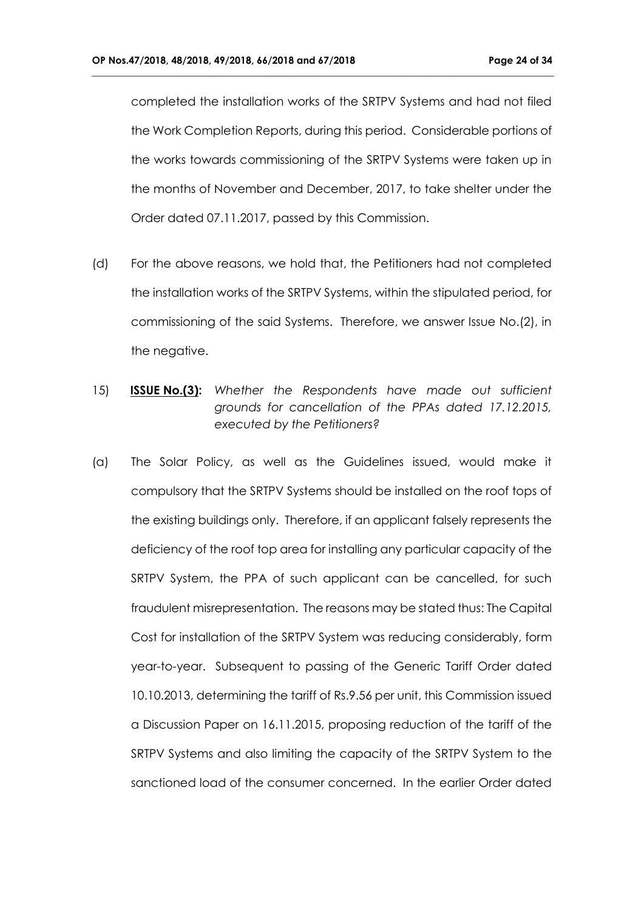completed the installation works of the SRTPV Systems and had not filed the Work Completion Reports, during this period. Considerable portions of the works towards commissioning of the SRTPV Systems were taken up in the months of November and December, 2017, to take shelter under the Order dated 07.11.2017, passed by this Commission.

- (d) For the above reasons, we hold that, the Petitioners had not completed the installation works of the SRTPV Systems, within the stipulated period, for commissioning of the said Systems. Therefore, we answer Issue No.(2), in the negative.
- 15) **ISSUE No.(3):** *Whether the Respondents have made out sufficient grounds for cancellation of the PPAs dated 17.12.2015, executed by the Petitioners?*
- (a) The Solar Policy, as well as the Guidelines issued, would make it compulsory that the SRTPV Systems should be installed on the roof tops of the existing buildings only. Therefore, if an applicant falsely represents the deficiency of the roof top area for installing any particular capacity of the SRTPV System, the PPA of such applicant can be cancelled, for such fraudulent misrepresentation. The reasons may be stated thus: The Capital Cost for installation of the SRTPV System was reducing considerably, form year-to-year. Subsequent to passing of the Generic Tariff Order dated 10.10.2013, determining the tariff of Rs.9.56 per unit, this Commission issued a Discussion Paper on 16.11.2015, proposing reduction of the tariff of the SRTPV Systems and also limiting the capacity of the SRTPV System to the sanctioned load of the consumer concerned. In the earlier Order dated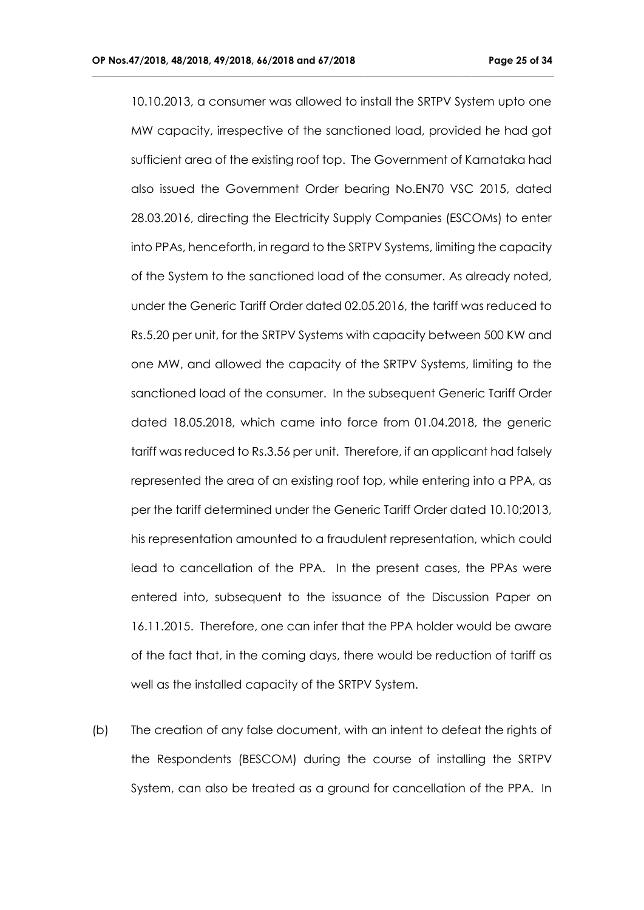10.10.2013, a consumer was allowed to install the SRTPV System upto one MW capacity, irrespective of the sanctioned load, provided he had got sufficient area of the existing roof top. The Government of Karnataka had also issued the Government Order bearing No.EN70 VSC 2015, dated 28.03.2016, directing the Electricity Supply Companies (ESCOMs) to enter into PPAs, henceforth, in regard to the SRTPV Systems, limiting the capacity of the System to the sanctioned load of the consumer. As already noted, under the Generic Tariff Order dated 02.05.2016, the tariff was reduced to Rs.5.20 per unit, for the SRTPV Systems with capacity between 500 KW and one MW, and allowed the capacity of the SRTPV Systems, limiting to the sanctioned load of the consumer. In the subsequent Generic Tariff Order dated 18.05.2018, which came into force from 01.04.2018, the generic tariff was reduced to Rs.3.56 per unit. Therefore, if an applicant had falsely represented the area of an existing roof top, while entering into a PPA, as per the tariff determined under the Generic Tariff Order dated 10.10;2013, his representation amounted to a fraudulent representation, which could lead to cancellation of the PPA. In the present cases, the PPAs were entered into, subsequent to the issuance of the Discussion Paper on 16.11.2015. Therefore, one can infer that the PPA holder would be aware of the fact that, in the coming days, there would be reduction of tariff as well as the installed capacity of the SRTPV System.

**\_\_\_\_\_\_\_\_\_\_\_\_\_\_\_\_\_\_\_\_\_\_\_\_\_\_\_\_\_\_\_\_\_\_\_\_\_\_\_\_\_\_\_\_\_\_\_\_\_\_\_\_\_\_\_\_\_\_\_\_\_\_\_\_\_\_\_\_\_\_\_\_\_\_\_\_\_\_\_\_\_\_\_\_\_\_\_\_\_\_\_\_\_\_\_**

(b) The creation of any false document, with an intent to defeat the rights of the Respondents (BESCOM) during the course of installing the SRTPV System, can also be treated as a ground for cancellation of the PPA. In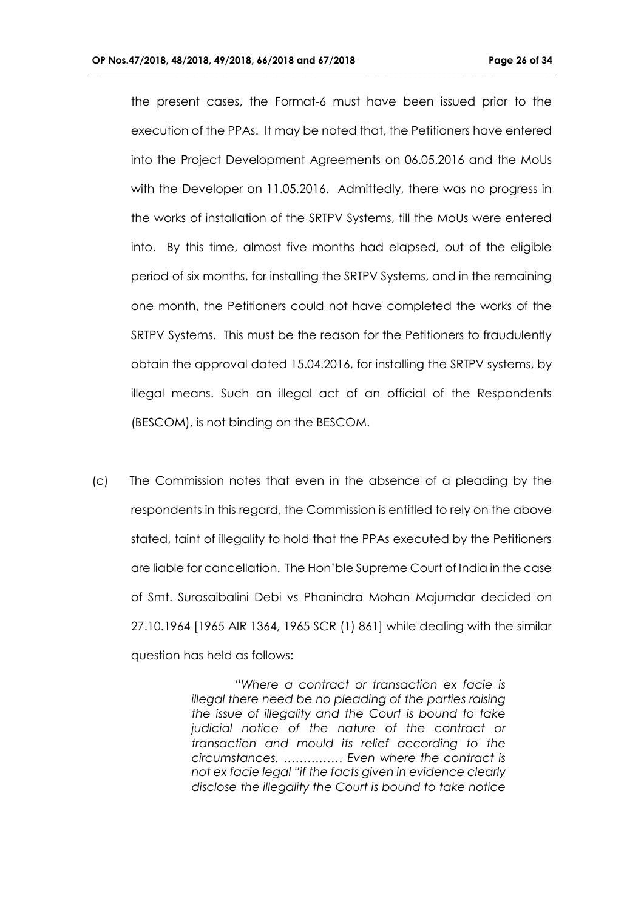the present cases, the Format-6 must have been issued prior to the execution of the PPAs. It may be noted that, the Petitioners have entered into the Project Development Agreements on 06.05.2016 and the MoUs with the Developer on 11.05.2016. Admittedly, there was no progress in the works of installation of the SRTPV Systems, till the MoUs were entered into. By this time, almost five months had elapsed, out of the eligible period of six months, for installing the SRTPV Systems, and in the remaining one month, the Petitioners could not have completed the works of the SRTPV Systems. This must be the reason for the Petitioners to fraudulently obtain the approval dated 15.04.2016, for installing the SRTPV systems, by illegal means. Such an illegal act of an official of the Respondents (BESCOM), is not binding on the BESCOM.

**\_\_\_\_\_\_\_\_\_\_\_\_\_\_\_\_\_\_\_\_\_\_\_\_\_\_\_\_\_\_\_\_\_\_\_\_\_\_\_\_\_\_\_\_\_\_\_\_\_\_\_\_\_\_\_\_\_\_\_\_\_\_\_\_\_\_\_\_\_\_\_\_\_\_\_\_\_\_\_\_\_\_\_\_\_\_\_\_\_\_\_\_\_\_\_**

(c) The Commission notes that even in the absence of a pleading by the respondents in this regard, the Commission is entitled to rely on the above stated, taint of illegality to hold that the PPAs executed by the Petitioners are liable for cancellation. The Hon'ble Supreme Court of India in the case of Smt. Surasaibalini Debi vs Phanindra Mohan Majumdar decided on 27.10.1964 [1965 AIR 1364, 1965 SCR (1) 861] while dealing with the similar question has held as follows:

> "*Where a contract or transaction ex facie is illegal there need be no pleading of the parties raising the issue of illegality and the Court is bound to take judicial notice of the nature of the contract or transaction and mould its relief according to the circumstances. …………… Even where the contract is not ex facie legal "if the facts given in evidence clearly disclose the illegality the Court is bound to take notice*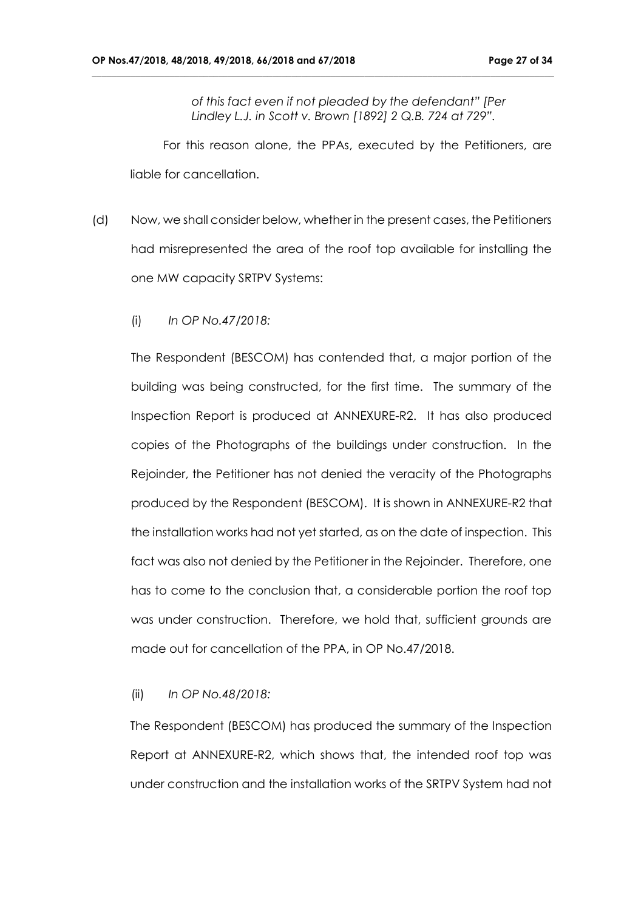*of this fact even if not pleaded by the defendant" [Per Lindley L.J. in Scott v. Brown [1892] 2 Q.B. 724 at 729".*

**\_\_\_\_\_\_\_\_\_\_\_\_\_\_\_\_\_\_\_\_\_\_\_\_\_\_\_\_\_\_\_\_\_\_\_\_\_\_\_\_\_\_\_\_\_\_\_\_\_\_\_\_\_\_\_\_\_\_\_\_\_\_\_\_\_\_\_\_\_\_\_\_\_\_\_\_\_\_\_\_\_\_\_\_\_\_\_\_\_\_\_\_\_\_\_**

 For this reason alone, the PPAs, executed by the Petitioners, are liable for cancellation.

- (d) Now, we shall consider below, whether in the present cases, the Petitioners had misrepresented the area of the roof top available for installing the one MW capacity SRTPV Systems:
	- (i) *In OP No.47/2018:*

The Respondent (BESCOM) has contended that, a major portion of the building was being constructed, for the first time. The summary of the Inspection Report is produced at ANNEXURE-R2. It has also produced copies of the Photographs of the buildings under construction. In the Rejoinder, the Petitioner has not denied the veracity of the Photographs produced by the Respondent (BESCOM). It is shown in ANNEXURE-R2 that the installation works had not yet started, as on the date of inspection. This fact was also not denied by the Petitioner in the Rejoinder. Therefore, one has to come to the conclusion that, a considerable portion the roof top was under construction. Therefore, we hold that, sufficient grounds are made out for cancellation of the PPA, in OP No.47/2018.

#### (ii) *In OP No.48/2018:*

The Respondent (BESCOM) has produced the summary of the Inspection Report at ANNEXURE-R2, which shows that, the intended roof top was under construction and the installation works of the SRTPV System had not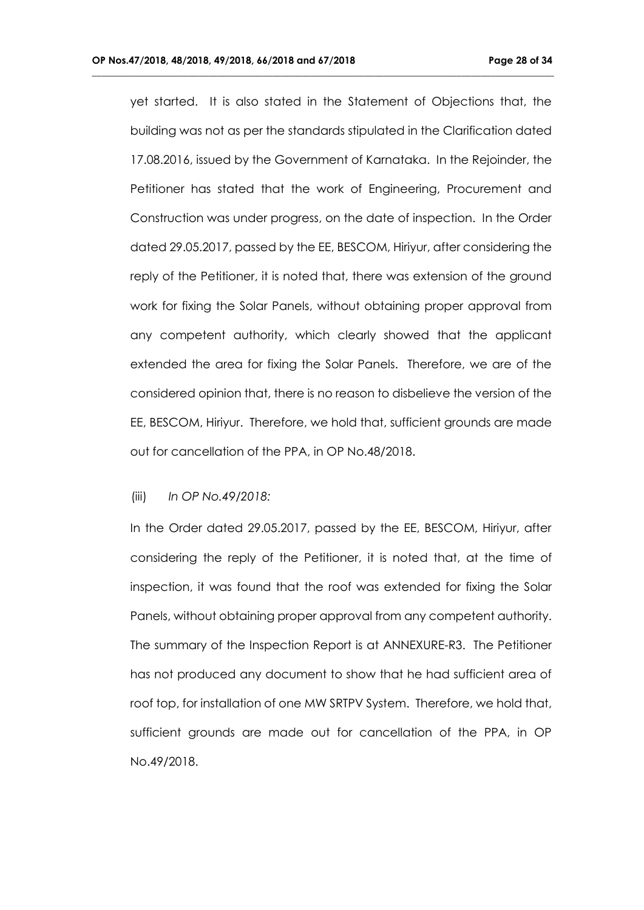yet started. It is also stated in the Statement of Objections that, the building was not as per the standards stipulated in the Clarification dated 17.08.2016, issued by the Government of Karnataka. In the Rejoinder, the Petitioner has stated that the work of Engineering, Procurement and Construction was under progress, on the date of inspection. In the Order dated 29.05.2017, passed by the EE, BESCOM, Hiriyur, after considering the reply of the Petitioner, it is noted that, there was extension of the ground work for fixing the Solar Panels, without obtaining proper approval from any competent authority, which clearly showed that the applicant extended the area for fixing the Solar Panels. Therefore, we are of the considered opinion that, there is no reason to disbelieve the version of the EE, BESCOM, Hiriyur. Therefore, we hold that, sufficient grounds are made out for cancellation of the PPA, in OP No.48/2018.

**\_\_\_\_\_\_\_\_\_\_\_\_\_\_\_\_\_\_\_\_\_\_\_\_\_\_\_\_\_\_\_\_\_\_\_\_\_\_\_\_\_\_\_\_\_\_\_\_\_\_\_\_\_\_\_\_\_\_\_\_\_\_\_\_\_\_\_\_\_\_\_\_\_\_\_\_\_\_\_\_\_\_\_\_\_\_\_\_\_\_\_\_\_\_\_**

#### (iii) *In OP No.49/2018:*

In the Order dated 29.05.2017, passed by the EE, BESCOM, Hiriyur, after considering the reply of the Petitioner, it is noted that, at the time of inspection, it was found that the roof was extended for fixing the Solar Panels, without obtaining proper approval from any competent authority. The summary of the Inspection Report is at ANNEXURE-R3. The Petitioner has not produced any document to show that he had sufficient area of roof top, for installation of one MW SRTPV System. Therefore, we hold that, sufficient grounds are made out for cancellation of the PPA, in OP No.49/2018.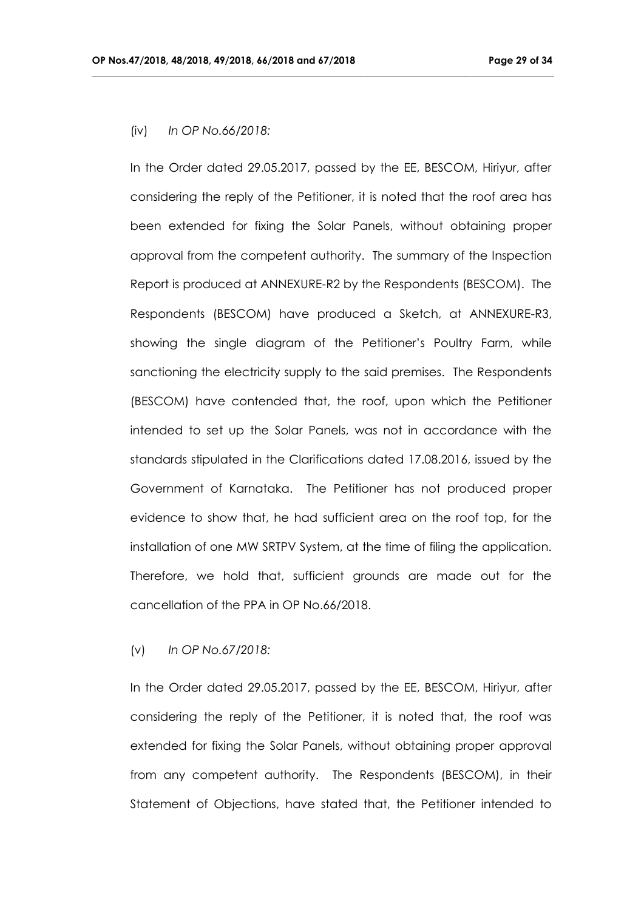## (iv) *In OP No.66/2018:*

In the Order dated 29.05.2017, passed by the EE, BESCOM, Hiriyur, after considering the reply of the Petitioner, it is noted that the roof area has been extended for fixing the Solar Panels, without obtaining proper approval from the competent authority. The summary of the Inspection Report is produced at ANNEXURE-R2 by the Respondents (BESCOM). The Respondents (BESCOM) have produced a Sketch, at ANNEXURE-R3, showing the single diagram of the Petitioner's Poultry Farm, while sanctioning the electricity supply to the said premises. The Respondents (BESCOM) have contended that, the roof, upon which the Petitioner intended to set up the Solar Panels, was not in accordance with the standards stipulated in the Clarifications dated 17.08.2016, issued by the Government of Karnataka. The Petitioner has not produced proper evidence to show that, he had sufficient area on the roof top, for the installation of one MW SRTPV System, at the time of filing the application. Therefore, we hold that, sufficient grounds are made out for the cancellation of the PPA in OP No.66/2018.

**\_\_\_\_\_\_\_\_\_\_\_\_\_\_\_\_\_\_\_\_\_\_\_\_\_\_\_\_\_\_\_\_\_\_\_\_\_\_\_\_\_\_\_\_\_\_\_\_\_\_\_\_\_\_\_\_\_\_\_\_\_\_\_\_\_\_\_\_\_\_\_\_\_\_\_\_\_\_\_\_\_\_\_\_\_\_\_\_\_\_\_\_\_\_\_**

## (v) *In OP No.67/2018:*

In the Order dated 29.05.2017, passed by the EE, BESCOM, Hiriyur, after considering the reply of the Petitioner, it is noted that, the roof was extended for fixing the Solar Panels, without obtaining proper approval from any competent authority. The Respondents (BESCOM), in their Statement of Objections, have stated that, the Petitioner intended to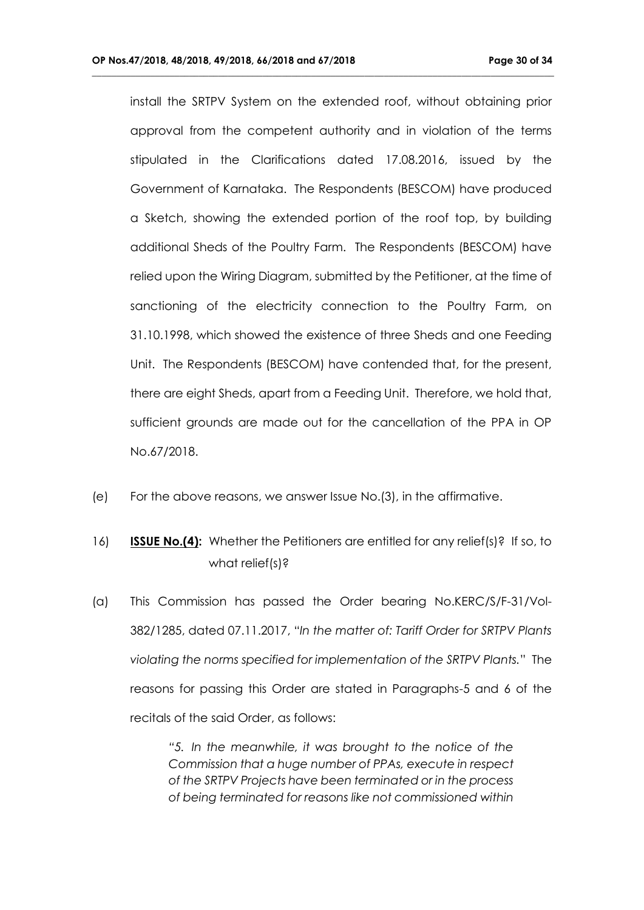install the SRTPV System on the extended roof, without obtaining prior approval from the competent authority and in violation of the terms stipulated in the Clarifications dated 17.08.2016, issued by the Government of Karnataka. The Respondents (BESCOM) have produced a Sketch, showing the extended portion of the roof top, by building additional Sheds of the Poultry Farm. The Respondents (BESCOM) have relied upon the Wiring Diagram, submitted by the Petitioner, at the time of sanctioning of the electricity connection to the Poultry Farm, on 31.10.1998, which showed the existence of three Sheds and one Feeding Unit. The Respondents (BESCOM) have contended that, for the present, there are eight Sheds, apart from a Feeding Unit. Therefore, we hold that, sufficient grounds are made out for the cancellation of the PPA in OP No.67/2018.

**\_\_\_\_\_\_\_\_\_\_\_\_\_\_\_\_\_\_\_\_\_\_\_\_\_\_\_\_\_\_\_\_\_\_\_\_\_\_\_\_\_\_\_\_\_\_\_\_\_\_\_\_\_\_\_\_\_\_\_\_\_\_\_\_\_\_\_\_\_\_\_\_\_\_\_\_\_\_\_\_\_\_\_\_\_\_\_\_\_\_\_\_\_\_\_**

- (e) For the above reasons, we answer Issue No.(3), in the affirmative.
- 16) **ISSUE No.(4):** Whether the Petitioners are entitled for any relief(s)? If so, to what relief(s)?
- (a) This Commission has passed the Order bearing No.KERC/S/F-31/Vol-382/1285, dated 07.11.2017, "*In the matter of: Tariff Order for SRTPV Plants violating the norms specified for implementation of the SRTPV Plants.*" The reasons for passing this Order are stated in Paragraphs-5 and 6 of the recitals of the said Order, as follows:

*"5. In the meanwhile, it was brought to the notice of the Commission that a huge number of PPAs, execute in respect of the SRTPV Projects have been terminated or in the process of being terminated for reasons like not commissioned within*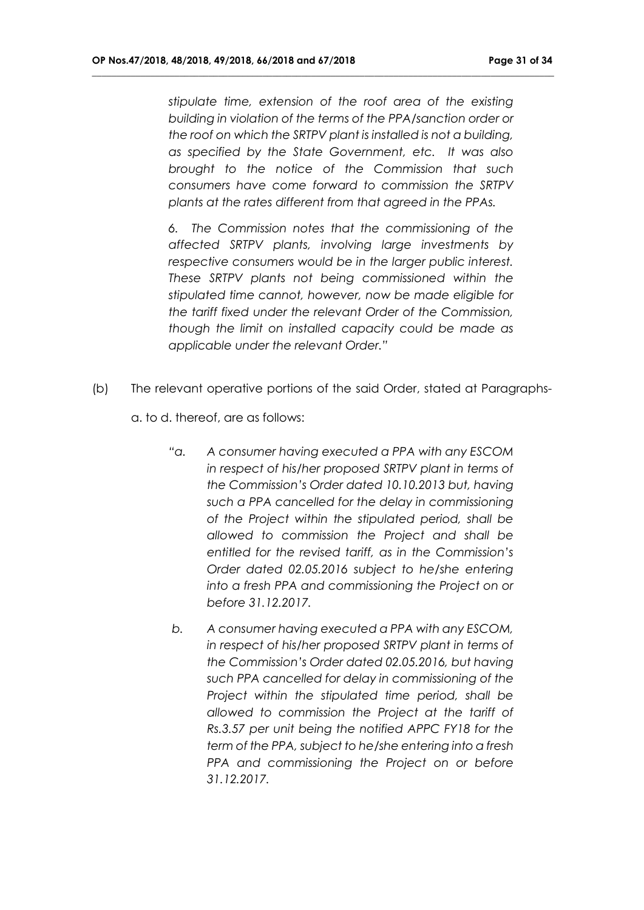*stipulate time, extension of the roof area of the existing building in violation of the terms of the PPA/sanction order or the roof on which the SRTPV plant is installed is not a building, as specified by the State Government, etc. It was also brought to the notice of the Commission that such consumers have come forward to commission the SRTPV plants at the rates different from that agreed in the PPAs.*

**\_\_\_\_\_\_\_\_\_\_\_\_\_\_\_\_\_\_\_\_\_\_\_\_\_\_\_\_\_\_\_\_\_\_\_\_\_\_\_\_\_\_\_\_\_\_\_\_\_\_\_\_\_\_\_\_\_\_\_\_\_\_\_\_\_\_\_\_\_\_\_\_\_\_\_\_\_\_\_\_\_\_\_\_\_\_\_\_\_\_\_\_\_\_\_**

*6. The Commission notes that the commissioning of the affected SRTPV plants, involving large investments by respective consumers would be in the larger public interest. These SRTPV plants not being commissioned within the stipulated time cannot, however, now be made eligible for the tariff fixed under the relevant Order of the Commission, though the limit on installed capacity could be made as applicable under the relevant Order."*

(b) The relevant operative portions of the said Order, stated at Paragraphs-

a. to d. thereof, are as follows:

- *"a. A consumer having executed a PPA with any ESCOM in respect of his/her proposed SRTPV plant in terms of the Commission's Order dated 10.10.2013 but, having such a PPA cancelled for the delay in commissioning of the Project within the stipulated period, shall be allowed to commission the Project and shall be entitled for the revised tariff, as in the Commission's Order dated 02.05.2016 subject to he/she entering into a fresh PPA and commissioning the Project on or before 31.12.2017.*
- *b. A consumer having executed a PPA with any ESCOM, in respect of his/her proposed SRTPV plant in terms of the Commission's Order dated 02.05.2016, but having such PPA cancelled for delay in commissioning of the Project within the stipulated time period, shall be allowed to commission the Project at the tariff of Rs.3.57 per unit being the notified APPC FY18 for the term of the PPA, subject to he/she entering into a fresh PPA and commissioning the Project on or before 31.12.2017.*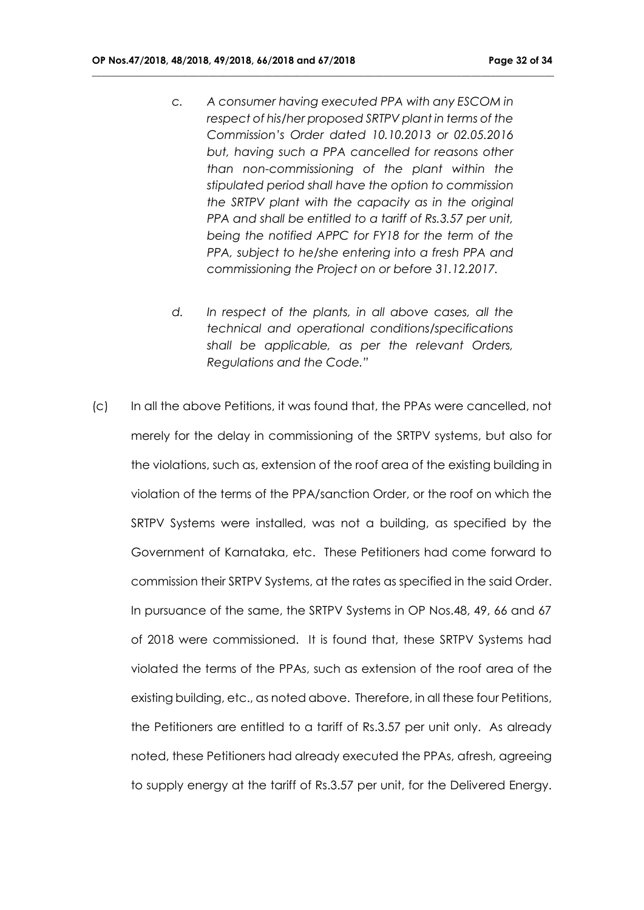*c. A consumer having executed PPA with any ESCOM in respect of his/her proposed SRTPV plant in terms of the Commission's Order dated 10.10.2013 or 02.05.2016 but, having such a PPA cancelled for reasons other than non-commissioning of the plant within the stipulated period shall have the option to commission the SRTPV plant with the capacity as in the original PPA and shall be entitled to a tariff of Rs.3.57 per unit, being the notified APPC for FY18 for the term of the PPA, subject to he/she entering into a fresh PPA and commissioning the Project on or before 31.12.2017.*

- *d. In respect of the plants, in all above cases, all the technical and operational conditions/specifications shall be applicable, as per the relevant Orders, Regulations and the Code."*
- (c) In all the above Petitions, it was found that, the PPAs were cancelled, not merely for the delay in commissioning of the SRTPV systems, but also for the violations, such as, extension of the roof area of the existing building in violation of the terms of the PPA/sanction Order, or the roof on which the SRTPV Systems were installed, was not a building, as specified by the Government of Karnataka, etc. These Petitioners had come forward to commission their SRTPV Systems, at the rates as specified in the said Order. In pursuance of the same, the SRTPV Systems in OP Nos.48, 49, 66 and 67 of 2018 were commissioned. It is found that, these SRTPV Systems had violated the terms of the PPAs, such as extension of the roof area of the existing building, etc., as noted above. Therefore, in all these four Petitions, the Petitioners are entitled to a tariff of Rs.3.57 per unit only. As already noted, these Petitioners had already executed the PPAs, afresh, agreeing to supply energy at the tariff of Rs.3.57 per unit, for the Delivered Energy.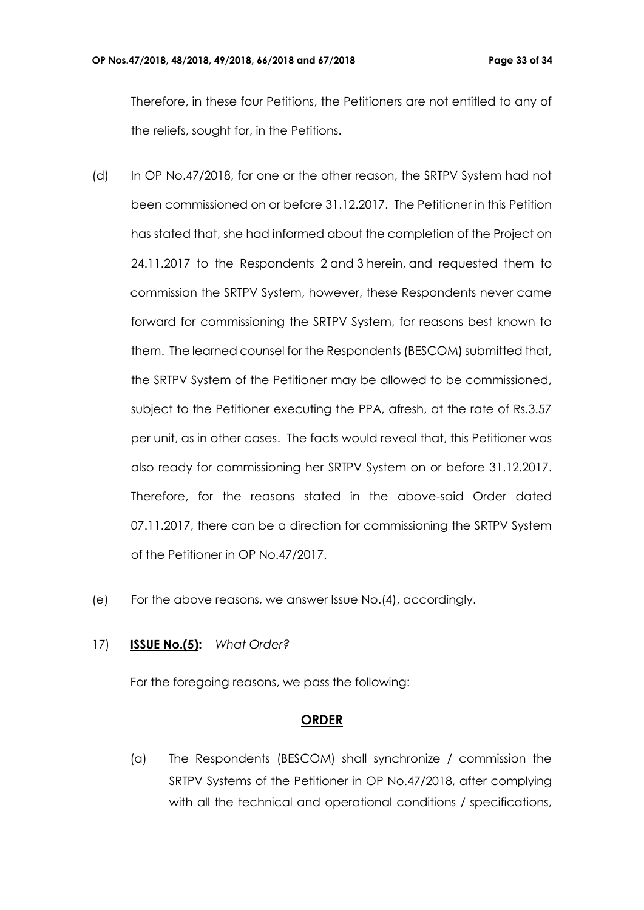Therefore, in these four Petitions, the Petitioners are not entitled to any of the reliefs, sought for, in the Petitions.

**\_\_\_\_\_\_\_\_\_\_\_\_\_\_\_\_\_\_\_\_\_\_\_\_\_\_\_\_\_\_\_\_\_\_\_\_\_\_\_\_\_\_\_\_\_\_\_\_\_\_\_\_\_\_\_\_\_\_\_\_\_\_\_\_\_\_\_\_\_\_\_\_\_\_\_\_\_\_\_\_\_\_\_\_\_\_\_\_\_\_\_\_\_\_\_**

- (d) In OP No.47/2018, for one or the other reason, the SRTPV System had not been commissioned on or before 31.12.2017. The Petitioner in this Petition has stated that, she had informed about the completion of the Project on 24.11.2017 to the Respondents 2 and 3 herein, and requested them to commission the SRTPV System, however, these Respondents never came forward for commissioning the SRTPV System, for reasons best known to them. The learned counsel for the Respondents (BESCOM) submitted that, the SRTPV System of the Petitioner may be allowed to be commissioned, subject to the Petitioner executing the PPA, afresh, at the rate of Rs.3.57 per unit, as in other cases. The facts would reveal that, this Petitioner was also ready for commissioning her SRTPV System on or before 31.12.2017. Therefore, for the reasons stated in the above-said Order dated 07.11.2017, there can be a direction for commissioning the SRTPV System of the Petitioner in OP No.47/2017.
- (e) For the above reasons, we answer Issue No.(4), accordingly.

## 17) **ISSUE No.(5):** *What Order?*

For the foregoing reasons, we pass the following:

## **ORDER**

(a) The Respondents (BESCOM) shall synchronize / commission the SRTPV Systems of the Petitioner in OP No.47/2018, after complying with all the technical and operational conditions / specifications,